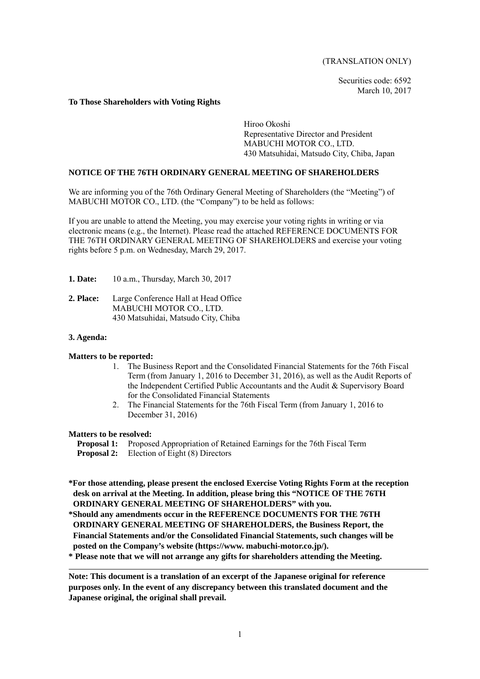(TRANSLATION ONLY)

Securities code: 6592 March 10, 2017

#### **To Those Shareholders with Voting Rights**

Hiroo Okoshi Representative Director and President MABUCHI MOTOR CO., LTD. 430 Matsuhidai, Matsudo City, Chiba, Japan

### **NOTICE OF THE 76TH ORDINARY GENERAL MEETING OF SHAREHOLDERS**

We are informing you of the 76th Ordinary General Meeting of Shareholders (the "Meeting") of MABUCHI MOTOR CO., LTD. (the "Company") to be held as follows:

If you are unable to attend the Meeting, you may exercise your voting rights in writing or via electronic means (e.g., the Internet). Please read the attached REFERENCE DOCUMENTS FOR THE 76TH ORDINARY GENERAL MEETING OF SHAREHOLDERS and exercise your voting rights before 5 p.m. on Wednesday, March 29, 2017.

- **1. Date:** 10 a.m., Thursday, March 30, 2017
- **2. Place:** Large Conference Hall at Head Office MABUCHI MOTOR CO., LTD. 430 Matsuhidai, Matsudo City, Chiba

### **3. Agenda:**

## **Matters to be reported:**

- 1. The Business Report and the Consolidated Financial Statements for the 76th Fiscal Term (from January 1, 2016 to December 31, 2016), as well as the Audit Reports of the Independent Certified Public Accountants and the Audit & Supervisory Board for the Consolidated Financial Statements
- 2. The Financial Statements for the 76th Fiscal Term (from January 1, 2016 to December 31, 2016)

#### **Matters to be resolved:**

- **Proposal 1:** Proposed Appropriation of Retained Earnings for the 76th Fiscal Term **Proposal 2:** Election of Eight (8) Directors
- **\*For those attending, please present the enclosed Exercise Voting Rights Form at the reception desk on arrival at the Meeting. In addition, please bring this "NOTICE OF THE 76TH ORDINARY GENERAL MEETING OF SHAREHOLDERS" with you.**
- **\*Should any amendments occur in the REFERENCE DOCUMENTS FOR THE 76TH ORDINARY GENERAL MEETING OF SHAREHOLDERS, the Business Report, the Financial Statements and/or the Consolidated Financial Statements, such changes will be posted on the Company's website (https://www. mabuchi-motor.co.jp/).**

**\* Please note that we will not arrange any gifts for shareholders attending the Meeting.** 

**Note: This document is a translation of an excerpt of the Japanese original for reference purposes only. In the event of any discrepancy between this translated document and the Japanese original, the original shall prevail.**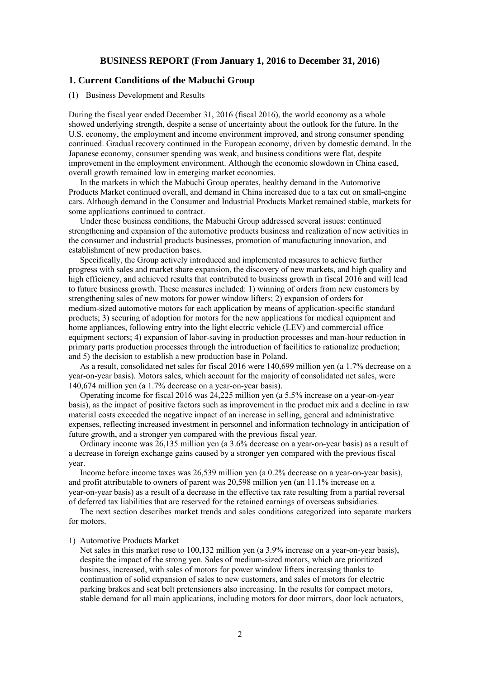## **BUSINESS REPORT (From January 1, 2016 to December 31, 2016)**

## **1. Current Conditions of the Mabuchi Group**

#### (1) Business Development and Results

During the fiscal year ended December 31, 2016 (fiscal 2016), the world economy as a whole showed underlying strength, despite a sense of uncertainty about the outlook for the future. In the U.S. economy, the employment and income environment improved, and strong consumer spending continued. Gradual recovery continued in the European economy, driven by domestic demand. In the Japanese economy, consumer spending was weak, and business conditions were flat, despite improvement in the employment environment. Although the economic slowdown in China eased, overall growth remained low in emerging market economies.

In the markets in which the Mabuchi Group operates, healthy demand in the Automotive Products Market continued overall, and demand in China increased due to a tax cut on small-engine cars. Although demand in the Consumer and Industrial Products Market remained stable, markets for some applications continued to contract.

Under these business conditions, the Mabuchi Group addressed several issues: continued strengthening and expansion of the automotive products business and realization of new activities in the consumer and industrial products businesses, promotion of manufacturing innovation, and establishment of new production bases.

Specifically, the Group actively introduced and implemented measures to achieve further progress with sales and market share expansion, the discovery of new markets, and high quality and high efficiency, and achieved results that contributed to business growth in fiscal 2016 and will lead to future business growth. These measures included: 1) winning of orders from new customers by strengthening sales of new motors for power window lifters; 2) expansion of orders for medium-sized automotive motors for each application by means of application-specific standard products; 3) securing of adoption for motors for the new applications for medical equipment and home appliances, following entry into the light electric vehicle (LEV) and commercial office equipment sectors; 4) expansion of labor-saving in production processes and man-hour reduction in primary parts production processes through the introduction of facilities to rationalize production; and 5) the decision to establish a new production base in Poland.

As a result, consolidated net sales for fiscal 2016 were 140,699 million yen (a 1.7% decrease on a year-on-year basis). Motors sales, which account for the majority of consolidated net sales, were 140,674 million yen (a 1.7% decrease on a year-on-year basis).

Operating income for fiscal 2016 was 24,225 million yen (a 5.5% increase on a year-on-year basis), as the impact of positive factors such as improvement in the product mix and a decline in raw material costs exceeded the negative impact of an increase in selling, general and administrative expenses, reflecting increased investment in personnel and information technology in anticipation of future growth, and a stronger yen compared with the previous fiscal year.

Ordinary income was 26,135 million yen (a 3.6% decrease on a year-on-year basis) as a result of a decrease in foreign exchange gains caused by a stronger yen compared with the previous fiscal year.

Income before income taxes was 26,539 million yen (a 0.2% decrease on a year-on-year basis), and profit attributable to owners of parent was 20,598 million yen (an 11.1% increase on a year-on-year basis) as a result of a decrease in the effective tax rate resulting from a partial reversal of deferred tax liabilities that are reserved for the retained earnings of overseas subsidiaries.

The next section describes market trends and sales conditions categorized into separate markets for motors.

#### 1) Automotive Products Market

Net sales in this market rose to 100,132 million yen (a 3.9% increase on a year-on-year basis), despite the impact of the strong yen. Sales of medium-sized motors, which are prioritized business, increased, with sales of motors for power window lifters increasing thanks to continuation of solid expansion of sales to new customers, and sales of motors for electric parking brakes and seat belt pretensioners also increasing. In the results for compact motors, stable demand for all main applications, including motors for door mirrors, door lock actuators,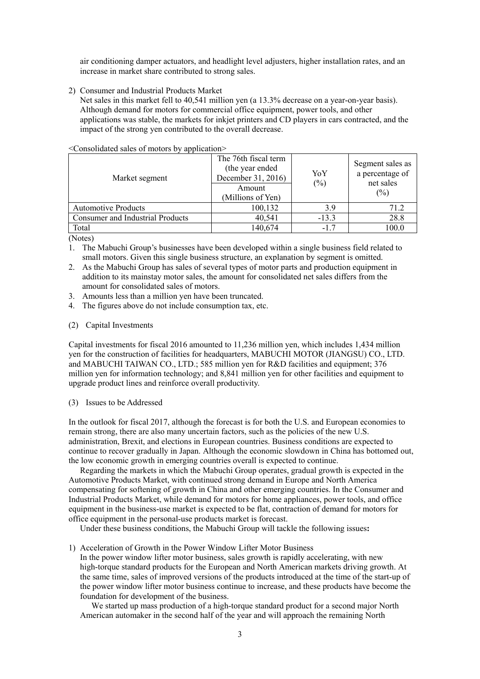air conditioning damper actuators, and headlight level adjusters, higher installation rates, and an increase in market share contributed to strong sales.

2) Consumer and Industrial Products Market

Net sales in this market fell to 40,541 million yen (a 13.3% decrease on a year-on-year basis). Although demand for motors for commercial office equipment, power tools, and other applications was stable, the markets for inkjet printers and CD players in cars contracted, and the impact of the strong yen contributed to the overall decrease.

<Consolidated sales of motors by application>

| Market segment                   | The 76th fiscal term<br>(the year ended)<br>December 31, 2016)<br>Amount<br>(Millions of Yen) | YoY<br>$(\%)$ | Segment sales as<br>a percentage of<br>net sales<br>$(\%)$ |
|----------------------------------|-----------------------------------------------------------------------------------------------|---------------|------------------------------------------------------------|
| <b>Automotive Products</b>       | 100,132                                                                                       | 3.9           | 71.2                                                       |
| Consumer and Industrial Products | 40,541                                                                                        | $-13.3$       | 28.8                                                       |
| Total                            | 140,674                                                                                       | $-17$         | 100.0                                                      |

(Notes)

- 1. The Mabuchi Group's businesses have been developed within a single business field related to small motors. Given this single business structure, an explanation by segment is omitted.
- 2. As the Mabuchi Group has sales of several types of motor parts and production equipment in addition to its mainstay motor sales, the amount for consolidated net sales differs from the amount for consolidated sales of motors.
- 3. Amounts less than a million yen have been truncated.
- 4. The figures above do not include consumption tax, etc.
- (2) Capital Investments

Capital investments for fiscal 2016 amounted to 11,236 million yen, which includes 1,434 million yen for the construction of facilities for headquarters, MABUCHI MOTOR (JIANGSU) CO., LTD. and MABUCHI TAIWAN CO., LTD.; 585 million yen for R&D facilities and equipment; 376 million yen for information technology; and 8,841 million yen for other facilities and equipment to upgrade product lines and reinforce overall productivity.

(3) Issues to be Addressed

In the outlook for fiscal 2017, although the forecast is for both the U.S. and European economies to remain strong, there are also many uncertain factors, such as the policies of the new U.S. administration, Brexit, and elections in European countries. Business conditions are expected to continue to recover gradually in Japan. Although the economic slowdown in China has bottomed out, the low economic growth in emerging countries overall is expected to continue.

Regarding the markets in which the Mabuchi Group operates, gradual growth is expected in the Automotive Products Market, with continued strong demand in Europe and North America compensating for softening of growth in China and other emerging countries. In the Consumer and Industrial Products Market, while demand for motors for home appliances, power tools, and office equipment in the business-use market is expected to be flat, contraction of demand for motors for office equipment in the personal-use products market is forecast.

Under these business conditions, the Mabuchi Group will tackle the following issues**:**

1) Acceleration of Growth in the Power Window Lifter Motor Business

In the power window lifter motor business, sales growth is rapidly accelerating, with new high-torque standard products for the European and North American markets driving growth. At the same time, sales of improved versions of the products introduced at the time of the start-up of the power window lifter motor business continue to increase, and these products have become the foundation for development of the business.

We started up mass production of a high-torque standard product for a second major North American automaker in the second half of the year and will approach the remaining North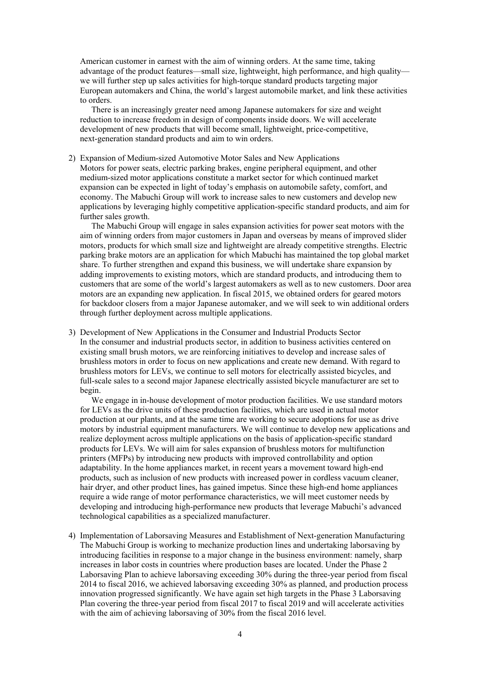American customer in earnest with the aim of winning orders. At the same time, taking advantage of the product features—small size, lightweight, high performance, and high quality we will further step up sales activities for high-torque standard products targeting major European automakers and China, the world's largest automobile market, and link these activities to orders.

There is an increasingly greater need among Japanese automakers for size and weight reduction to increase freedom in design of components inside doors. We will accelerate development of new products that will become small, lightweight, price-competitive, next-generation standard products and aim to win orders.

2) Expansion of Medium-sized Automotive Motor Sales and New Applications Motors for power seats, electric parking brakes, engine peripheral equipment, and other medium-sized motor applications constitute a market sector for which continued market expansion can be expected in light of today's emphasis on automobile safety, comfort, and economy. The Mabuchi Group will work to increase sales to new customers and develop new applications by leveraging highly competitive application-specific standard products, and aim for further sales growth.

The Mabuchi Group will engage in sales expansion activities for power seat motors with the aim of winning orders from major customers in Japan and overseas by means of improved slider motors, products for which small size and lightweight are already competitive strengths. Electric parking brake motors are an application for which Mabuchi has maintained the top global market share. To further strengthen and expand this business, we will undertake share expansion by adding improvements to existing motors, which are standard products, and introducing them to customers that are some of the world's largest automakers as well as to new customers. Door area motors are an expanding new application. In fiscal 2015, we obtained orders for geared motors for backdoor closers from a major Japanese automaker, and we will seek to win additional orders through further deployment across multiple applications.

3) Development of New Applications in the Consumer and Industrial Products Sector In the consumer and industrial products sector, in addition to business activities centered on existing small brush motors, we are reinforcing initiatives to develop and increase sales of brushless motors in order to focus on new applications and create new demand. With regard to brushless motors for LEVs, we continue to sell motors for electrically assisted bicycles, and full-scale sales to a second major Japanese electrically assisted bicycle manufacturer are set to begin.

We engage in in-house development of motor production facilities. We use standard motors for LEVs as the drive units of these production facilities, which are used in actual motor production at our plants, and at the same time are working to secure adoptions for use as drive motors by industrial equipment manufacturers. We will continue to develop new applications and realize deployment across multiple applications on the basis of application-specific standard products for LEVs. We will aim for sales expansion of brushless motors for multifunction printers (MFPs) by introducing new products with improved controllability and option adaptability. In the home appliances market, in recent years a movement toward high-end products, such as inclusion of new products with increased power in cordless vacuum cleaner, hair dryer, and other product lines, has gained impetus. Since these high-end home appliances require a wide range of motor performance characteristics, we will meet customer needs by developing and introducing high-performance new products that leverage Mabuchi's advanced technological capabilities as a specialized manufacturer.

4) Implementation of Laborsaving Measures and Establishment of Next-generation Manufacturing The Mabuchi Group is working to mechanize production lines and undertaking laborsaving by introducing facilities in response to a major change in the business environment: namely, sharp increases in labor costs in countries where production bases are located. Under the Phase 2 Laborsaving Plan to achieve laborsaving exceeding 30% during the three-year period from fiscal 2014 to fiscal 2016, we achieved laborsaving exceeding 30% as planned, and production process innovation progressed significantly. We have again set high targets in the Phase 3 Laborsaving Plan covering the three-year period from fiscal 2017 to fiscal 2019 and will accelerate activities with the aim of achieving laborsaving of 30% from the fiscal 2016 level.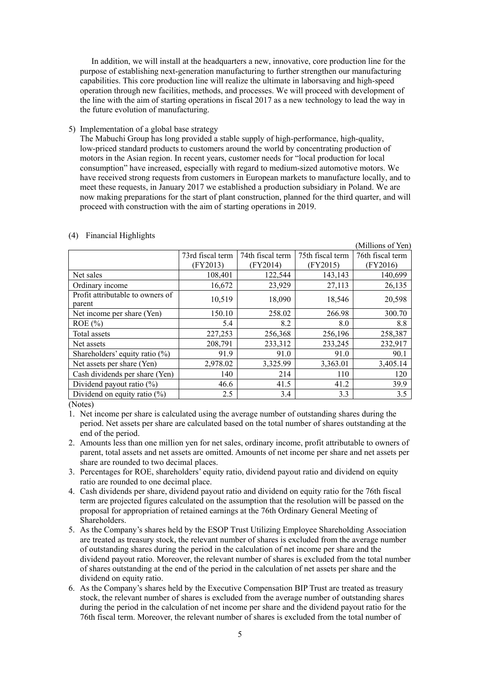In addition, we will install at the headquarters a new, innovative, core production line for the purpose of establishing next-generation manufacturing to further strengthen our manufacturing capabilities. This core production line will realize the ultimate in laborsaving and high-speed operation through new facilities, methods, and processes. We will proceed with development of the line with the aim of starting operations in fiscal 2017 as a new technology to lead the way in the future evolution of manufacturing.

5) Implementation of a global base strategy

The Mabuchi Group has long provided a stable supply of high-performance, high-quality, low-priced standard products to customers around the world by concentrating production of motors in the Asian region. In recent years, customer needs for "local production for local consumption" have increased, especially with regard to medium-sized automotive motors. We have received strong requests from customers in European markets to manufacture locally, and to meet these requests, in January 2017 we established a production subsidiary in Poland. We are now making preparations for the start of plant construction, planned for the third quarter, and will proceed with construction with the aim of starting operations in 2019.

|                                            |                  |                  |                  | (Millions of Yen) |
|--------------------------------------------|------------------|------------------|------------------|-------------------|
|                                            | 73rd fiscal term | 74th fiscal term | 75th fiscal term | 76th fiscal term  |
|                                            | (FY2013)         | (FY2014)         | (FY2015)         | (FY2016)          |
| Net sales                                  | 108,401          | 122,544          | 143,143          | 140,699           |
| Ordinary income                            | 16,672           | 23,929           | 27,113           | 26,135            |
| Profit attributable to owners of<br>parent | 10,519           | 18,090           | 18,546           | 20,598            |
| Net income per share (Yen)                 | 150.10           | 258.02           | 266.98           | 300.70            |
| $ROE$ (%)                                  | 5.4              | 8.2              | 8.0              | 8.8               |
| Total assets                               | 227,253          | 256,368          | 256,196          | 258,387           |
| Net assets                                 | 208,791          | 233,312          | 233,245          | 232,917           |
| Shareholders' equity ratio $(\%)$          | 91.9             | 91.0             | 91.0             | 90.1              |
| Net assets per share (Yen)                 | 2,978.02         | 3,325.99         | 3,363.01         | 3,405.14          |
| Cash dividends per share (Yen)             | 140              | 214              | 110              | 120               |
| Dividend payout ratio $(\%)$               | 46.6             | 41.5             | 41.2             | 39.9              |
| Dividend on equity ratio $(\%)$            | 2.5              | 3.4              | 3.3              | 3.5               |

#### (4) Financial Highlights

(Notes)

- 1. Net income per share is calculated using the average number of outstanding shares during the period. Net assets per share are calculated based on the total number of shares outstanding at the end of the period.
- 2. Amounts less than one million yen for net sales, ordinary income, profit attributable to owners of parent, total assets and net assets are omitted. Amounts of net income per share and net assets per share are rounded to two decimal places.
- 3. Percentages for ROE, shareholders' equity ratio, dividend payout ratio and dividend on equity ratio are rounded to one decimal place.
- 4. Cash dividends per share, dividend payout ratio and dividend on equity ratio for the 76th fiscal term are projected figures calculated on the assumption that the resolution will be passed on the proposal for appropriation of retained earnings at the 76th Ordinary General Meeting of Shareholders.
- 5. As the Company's shares held by the ESOP Trust Utilizing Employee Shareholding Association are treated as treasury stock, the relevant number of shares is excluded from the average number of outstanding shares during the period in the calculation of net income per share and the dividend payout ratio. Moreover, the relevant number of shares is excluded from the total number of shares outstanding at the end of the period in the calculation of net assets per share and the dividend on equity ratio.
- 6. As the Company's shares held by the Executive Compensation BIP Trust are treated as treasury stock, the relevant number of shares is excluded from the average number of outstanding shares during the period in the calculation of net income per share and the dividend payout ratio for the 76th fiscal term. Moreover, the relevant number of shares is excluded from the total number of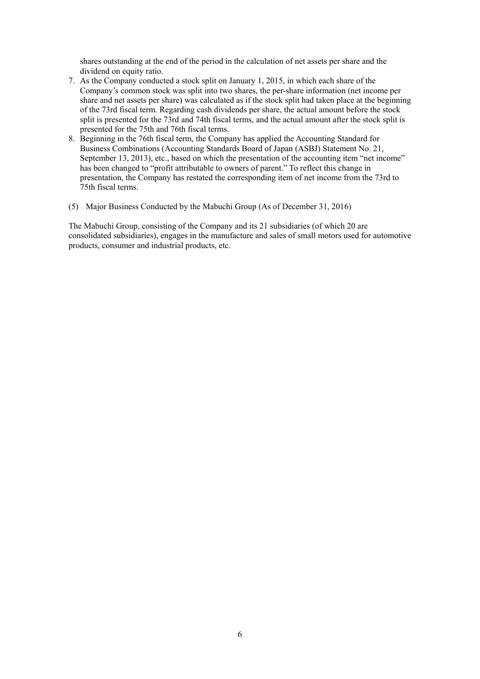shares outstanding at the end of the period in the calculation of net assets per share and the dividend on equity ratio.

- 7. As the Company conducted a stock split on January 1, 2015, in which each share of the Company's common stock was split into two shares, the per-share information (net income per share and net assets per share) was calculated as if the stock split had taken place at the beginning of the 73rd fiscal term. Regarding cash dividends per share, the actual amount before the stock split is presented for the 73rd and 74th fiscal terms, and the actual amount after the stock split is presented for the 75th and 76th fiscal terms.
- 8. Beginning in the 76th fiscal term, the Company has applied the Accounting Standard for Business Combinations (Accounting Standards Board of Japan (ASBJ) Statement No. 21, September 13, 2013), etc., based on which the presentation of the accounting item "net income" has been changed to "profit attributable to owners of parent." To reflect this change in presentation, the Company has restated the corresponding item of net income from the 73rd to 75th fiscal terms.
- (5) Major Business Conducted by the Mabuchi Group (As of December 31, 2016)

The Mabuchi Group, consisting of the Company and its 21 subsidiaries (of which 20 are consolidated subsidiaries), engages in the manufacture and sales of small motors used for automotive products, consumer and industrial products, etc.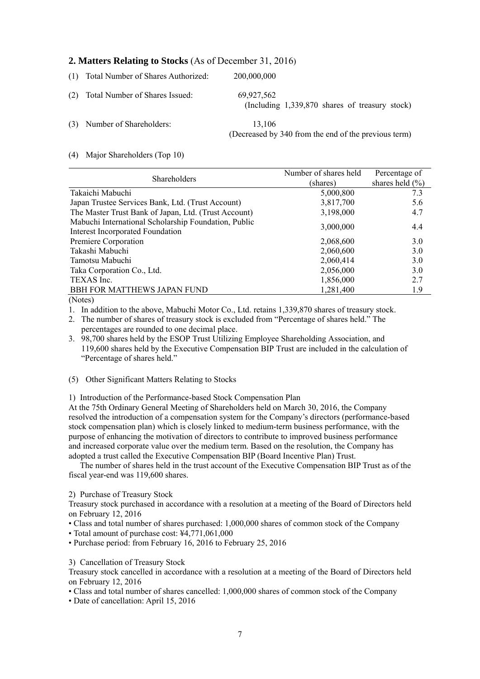# **2. Matters Relating to Stocks** (As of December 31, 2016)

| (1) Total Number of Shares Authorized: | 200,000,000                                                    |
|----------------------------------------|----------------------------------------------------------------|
| (2) Total Number of Shares Issued:     | 69,927,562<br>(Including $1,339,870$ shares of treasury stock) |
| (3) Number of Shareholders:            | 13.106<br>(Decreased by 340 from the end of the previous term) |

#### (4) Major Shareholders (Top 10)

|                                                      | Number of shares held | Percentage of       |
|------------------------------------------------------|-----------------------|---------------------|
| <b>Shareholders</b>                                  | (shares)              | shares held $(\% )$ |
| Takaichi Mabuchi                                     | 5,000,800             | 7.3                 |
| Japan Trustee Services Bank, Ltd. (Trust Account)    | 3,817,700             | 5.6                 |
| The Master Trust Bank of Japan, Ltd. (Trust Account) | 3,198,000             | 4.7                 |
| Mabuchi International Scholarship Foundation, Public | 3,000,000             | 4.4                 |
| <b>Interest Incorporated Foundation</b>              |                       |                     |
| Premiere Corporation                                 | 2,068,600             | 3.0                 |
| Takashi Mabuchi                                      | 2,060,600             | 3.0                 |
| Tamotsu Mabuchi                                      | 2,060,414             | 3.0                 |
| Taka Corporation Co., Ltd.                           | 2,056,000             | 3.0                 |
| TEXAS Inc.                                           | 1,856,000             | 2.7                 |
| <b>BBH FOR MATTHEWS JAPAN FUND</b>                   | 1,281,400             | 1.9                 |
| $-1$                                                 |                       |                     |

(Notes)

1. In addition to the above, Mabuchi Motor Co., Ltd. retains 1,339,870 shares of treasury stock.

2. The number of shares of treasury stock is excluded from "Percentage of shares held." The percentages are rounded to one decimal place.

3. 98,700 shares held by the ESOP Trust Utilizing Employee Shareholding Association, and 119,600 shares held by the Executive Compensation BIP Trust are included in the calculation of "Percentage of shares held."

(5) Other Significant Matters Relating to Stocks

1) Introduction of the Performance-based Stock Compensation Plan

At the 75th Ordinary General Meeting of Shareholders held on March 30, 2016, the Company resolved the introduction of a compensation system for the Company's directors (performance-based stock compensation plan) which is closely linked to medium-term business performance, with the purpose of enhancing the motivation of directors to contribute to improved business performance and increased corporate value over the medium term. Based on the resolution, the Company has adopted a trust called the Executive Compensation BIP (Board Incentive Plan) Trust.

The number of shares held in the trust account of the Executive Compensation BIP Trust as of the fiscal year-end was 119,600 shares.

2) Purchase of Treasury Stock

Treasury stock purchased in accordance with a resolution at a meeting of the Board of Directors held on February 12, 2016

• Class and total number of shares purchased: 1,000,000 shares of common stock of the Company

• Total amount of purchase cost: ¥4,771,061,000

• Purchase period: from February 16, 2016 to February 25, 2016

3) Cancellation of Treasury Stock

Treasury stock cancelled in accordance with a resolution at a meeting of the Board of Directors held on February 12, 2016

• Class and total number of shares cancelled: 1,000,000 shares of common stock of the Company

• Date of cancellation: April 15, 2016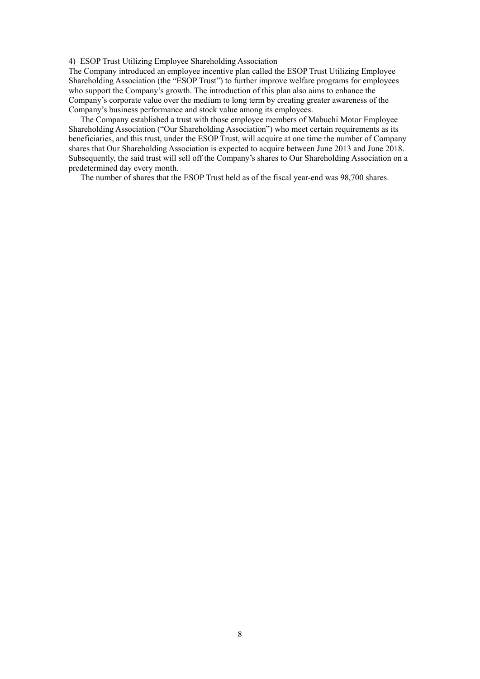#### 4) ESOP Trust Utilizing Employee Shareholding Association

The Company introduced an employee incentive plan called the ESOP Trust Utilizing Employee Shareholding Association (the "ESOP Trust") to further improve welfare programs for employees who support the Company's growth. The introduction of this plan also aims to enhance the Company's corporate value over the medium to long term by creating greater awareness of the Company's business performance and stock value among its employees.

The Company established a trust with those employee members of Mabuchi Motor Employee Shareholding Association ("Our Shareholding Association") who meet certain requirements as its beneficiaries, and this trust, under the ESOP Trust, will acquire at one time the number of Company shares that Our Shareholding Association is expected to acquire between June 2013 and June 2018. Subsequently, the said trust will sell off the Company's shares to Our Shareholding Association on a predetermined day every month.

The number of shares that the ESOP Trust held as of the fiscal year-end was 98,700 shares.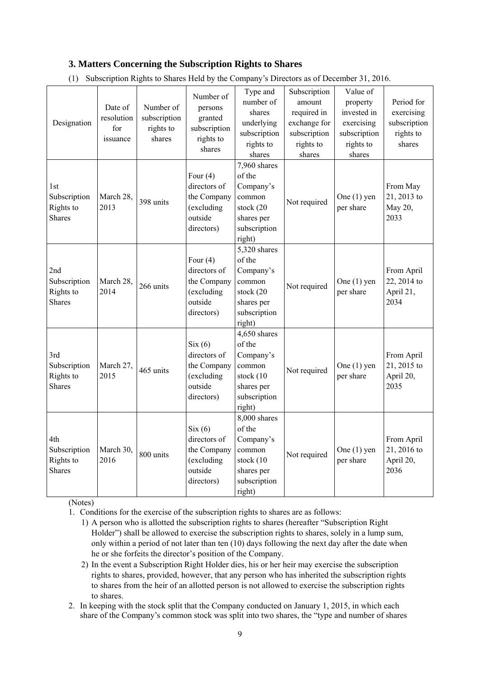# **3. Matters Concerning the Subscription Rights to Shares**

| Designation                                       | Date of<br>resolution<br>for<br>issuance | Number of<br>subscription<br>rights to<br>shares | Number of<br>persons<br>granted<br>subscription<br>rights to<br>shares           | Type and<br>number of<br>shares<br>underlying<br>subscription<br>rights to<br>shares               | Subscription<br>amount<br>required in<br>exchange for<br>subscription<br>rights to<br>shares | Value of<br>property<br>invested in<br>exercising<br>subscription<br>rights to<br>shares | Period for<br>exercising<br>subscription<br>rights to<br>shares |
|---------------------------------------------------|------------------------------------------|--------------------------------------------------|----------------------------------------------------------------------------------|----------------------------------------------------------------------------------------------------|----------------------------------------------------------------------------------------------|------------------------------------------------------------------------------------------|-----------------------------------------------------------------|
| 1st<br>Subscription<br>Rights to<br><b>Shares</b> | March 28,<br>2013                        | 398 units                                        | Four $(4)$<br>directors of<br>the Company<br>(excluding<br>outside<br>directors) | 7,960 shares<br>of the<br>Company's<br>common<br>stock (20<br>shares per<br>subscription<br>right) | Not required                                                                                 | One $(1)$ yen<br>per share                                                               | From May<br>21, 2013 to<br>May 20,<br>2033                      |
| 2nd<br>Subscription<br>Rights to<br><b>Shares</b> | March 28,<br>2014                        | 266 units                                        | Four $(4)$<br>directors of<br>the Company<br>(excluding<br>outside<br>directors) | 5,320 shares<br>of the<br>Company's<br>common<br>stock (20<br>shares per<br>subscription<br>right) | Not required                                                                                 | One $(1)$ yen<br>per share                                                               | From April<br>22, 2014 to<br>April 21,<br>2034                  |
| 3rd<br>Subscription<br>Rights to<br><b>Shares</b> | March 27,<br>2015                        | 465 units                                        | Six(6)<br>directors of<br>the Company<br>(excluding<br>outside<br>directors)     | 4,650 shares<br>of the<br>Company's<br>common<br>stock (10<br>shares per<br>subscription<br>right) | Not required                                                                                 | One $(1)$ yen<br>per share                                                               | From April<br>21, 2015 to<br>April 20,<br>2035                  |
| 4th<br>Subscription<br>Rights to<br><b>Shares</b> | March 30,<br>2016                        | 800 units                                        | Six(6)<br>directors of<br>the Company<br>(excluding<br>outside<br>directors)     | 8,000 shares<br>of the<br>Company's<br>common<br>stock (10<br>shares per<br>subscription<br>right) | Not required                                                                                 | One $(1)$ yen<br>per share                                                               | From April<br>21, 2016 to<br>April 20,<br>2036                  |

(1) Subscription Rights to Shares Held by the Company's Directors as of December 31, 2016.

(Notes)

- 1. Conditions for the exercise of the subscription rights to shares are as follows:
	- 1) A person who is allotted the subscription rights to shares (hereafter "Subscription Right Holder") shall be allowed to exercise the subscription rights to shares, solely in a lump sum, only within a period of not later than ten (10) days following the next day after the date when he or she forfeits the director's position of the Company.
	- 2) In the event a Subscription Right Holder dies, his or her heir may exercise the subscription rights to shares, provided, however, that any person who has inherited the subscription rights to shares from the heir of an allotted person is not allowed to exercise the subscription rights to shares.
- 2. In keeping with the stock split that the Company conducted on January 1, 2015, in which each share of the Company's common stock was split into two shares, the "type and number of shares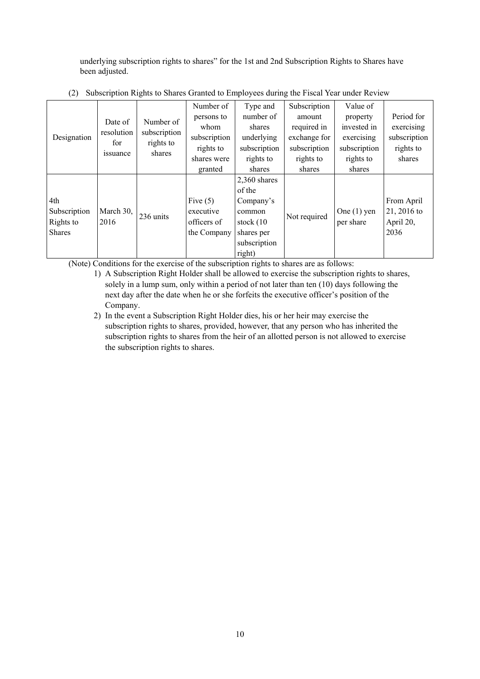underlying subscription rights to shares" for the 1st and 2nd Subscription Rights to Shares have been adjusted.

|               |            |              | Number of    | Type and       | Subscription | Value of      |              |
|---------------|------------|--------------|--------------|----------------|--------------|---------------|--------------|
|               | Date of    | Number of    | persons to   | number of      | amount       | property      | Period for   |
|               | resolution | subscription | whom         | shares         | required in  | invested in   | exercising   |
| Designation   | for        | rights to    | subscription | underlying     | exchange for | exercising    | subscription |
|               |            | shares       | rights to    | subscription   | subscription | subscription  | rights to    |
|               | issuance   |              | shares were  | rights to      | rights to    | rights to     | shares       |
|               |            |              | granted      | shares         | shares       | shares        |              |
|               |            |              |              | $2,360$ shares |              |               |              |
|               |            |              |              | of the         |              |               |              |
| 4th           |            |              | Five $(5)$   | Company's      |              |               | From April   |
| Subscription  | March 30,  | 236 units    | executive    | common         | Not required | One $(1)$ yen | 21, 2016 to  |
| Rights to     | 2016       |              | officers of  | stock $(10)$   |              | per share     | April 20,    |
| <b>Shares</b> |            |              | the Company  | shares per     |              |               | 2036         |
|               |            |              |              | subscription   |              |               |              |
|               |            |              |              | right)         |              |               |              |

(2) Subscription Rights to Shares Granted to Employees during the Fiscal Year under Review

(Note) Conditions for the exercise of the subscription rights to shares are as follows:

- 1) A Subscription Right Holder shall be allowed to exercise the subscription rights to shares, solely in a lump sum, only within a period of not later than ten (10) days following the next day after the date when he or she forfeits the executive officer's position of the Company.
- 2) In the event a Subscription Right Holder dies, his or her heir may exercise the subscription rights to shares, provided, however, that any person who has inherited the subscription rights to shares from the heir of an allotted person is not allowed to exercise the subscription rights to shares.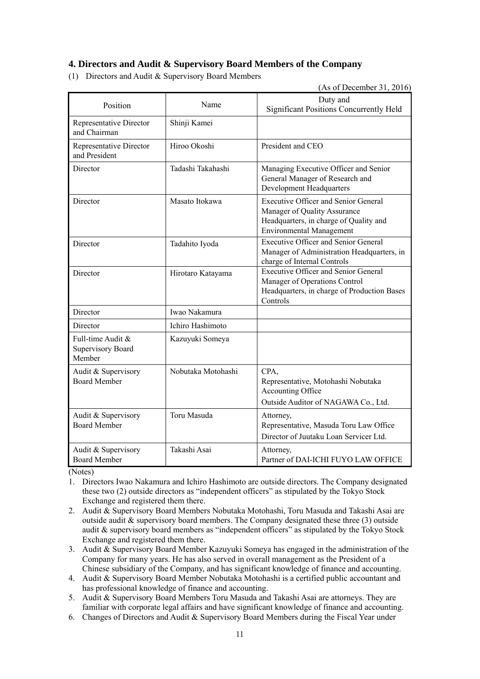# **4. Directors and Audit & Supervisory Board Members of the Company**

(1) Directors and Audit & Supervisory Board Members

(As of December 31, 2016)

| Position                                                | Name               | Duty and<br><b>Significant Positions Concurrently Held</b>                                                                                               |
|---------------------------------------------------------|--------------------|----------------------------------------------------------------------------------------------------------------------------------------------------------|
| Representative Director<br>and Chairman                 | Shinji Kamei       |                                                                                                                                                          |
| Representative Director<br>and President                | Hiroo Okoshi       | President and CEO                                                                                                                                        |
| Director                                                | Tadashi Takahashi  | Managing Executive Officer and Senior<br>General Manager of Research and<br><b>Development Headquarters</b>                                              |
| Director                                                | Masato Itokawa     | <b>Executive Officer and Senior General</b><br>Manager of Quality Assurance<br>Headquarters, in charge of Quality and<br><b>Environmental Management</b> |
| Director                                                | Tadahito Iyoda     | <b>Executive Officer and Senior General</b><br>Manager of Administration Headquarters, in<br>charge of Internal Controls                                 |
| Director                                                | Hirotaro Katayama  | <b>Executive Officer and Senior General</b><br>Manager of Operations Control<br>Headquarters, in charge of Production Bases<br>Controls                  |
| Director                                                | Iwao Nakamura      |                                                                                                                                                          |
| Director                                                | Ichiro Hashimoto   |                                                                                                                                                          |
| Full-time Audit &<br><b>Supervisory Board</b><br>Member | Kazuyuki Someya    |                                                                                                                                                          |
| Audit & Supervisory<br><b>Board Member</b>              | Nobutaka Motohashi | CPA.<br>Representative, Motohashi Nobutaka<br>Accounting Office<br>Outside Auditor of NAGAWA Co., Ltd.                                                   |
| Audit & Supervisory<br><b>Board Member</b>              | Toru Masuda        | Attorney,<br>Representative, Masuda Toru Law Office<br>Director of Juutaku Loan Servicer Ltd.                                                            |
| Audit & Supervisory<br><b>Board Member</b>              | Takashi Asai       | Attorney,<br>Partner of DAI-ICHI FUYO LAW OFFICE                                                                                                         |

(Notes)

- 1. Directors Iwao Nakamura and Ichiro Hashimoto are outside directors. The Company designated these two (2) outside directors as "independent officers" as stipulated by the Tokyo Stock Exchange and registered them there.
- 2. Audit & Supervisory Board Members Nobutaka Motohashi, Toru Masuda and Takashi Asai are outside audit  $\&$  supervisory board members. The Company designated these three (3) outside audit & supervisory board members as "independent officers" as stipulated by the Tokyo Stock Exchange and registered them there.
- 3. Audit & Supervisory Board Member Kazuyuki Someya has engaged in the administration of the Company for many years. He has also served in overall management as the President of a Chinese subsidiary of the Company, and has significant knowledge of finance and accounting.
- 4. Audit & Supervisory Board Member Nobutaka Motohashi is a certified public accountant and has professional knowledge of finance and accounting.
- 5. Audit & Supervisory Board Members Toru Masuda and Takashi Asai are attorneys. They are familiar with corporate legal affairs and have significant knowledge of finance and accounting.
- 6. Changes of Directors and Audit & Supervisory Board Members during the Fiscal Year under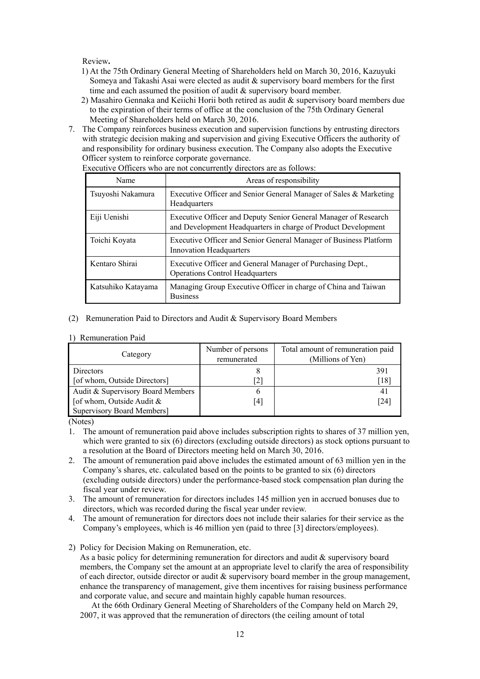Review**.**

- 1) At the 75th Ordinary General Meeting of Shareholders held on March 30, 2016, Kazuyuki Someya and Takashi Asai were elected as audit & supervisory board members for the first time and each assumed the position of audit & supervisory board member.
- 2) Masahiro Gennaka and Keiichi Horii both retired as audit & supervisory board members due to the expiration of their terms of office at the conclusion of the 75th Ordinary General Meeting of Shareholders held on March 30, 2016.
- 7. The Company reinforces business execution and supervision functions by entrusting directors with strategic decision making and supervision and giving Executive Officers the authority of and responsibility for ordinary business execution. The Company also adopts the Executive Officer system to reinforce corporate governance.

| Name               | Areas of responsibility                                                                                                          |
|--------------------|----------------------------------------------------------------------------------------------------------------------------------|
| Tsuyoshi Nakamura  | Executive Officer and Senior General Manager of Sales & Marketing<br>Headquarters                                                |
| Eiji Uenishi       | Executive Officer and Deputy Senior General Manager of Research<br>and Development Headquarters in charge of Product Development |
| Toichi Koyata      | Executive Officer and Senior General Manager of Business Platform<br><b>Innovation Headquarters</b>                              |
| Kentaro Shirai     | Executive Officer and General Manager of Purchasing Dept.,<br><b>Operations Control Headquarters</b>                             |
| Katsuhiko Katayama | Managing Group Executive Officer in charge of China and Taiwan<br><b>Business</b>                                                |

Executive Officers who are not concurrently directors are as follows:

- (2) Remuneration Paid to Directors and Audit & Supervisory Board Members
- 1) Remuneration Paid

| Category                          | Number of persons<br>remunerated | Total amount of remuneration paid<br>(Millions of Yen) |
|-----------------------------------|----------------------------------|--------------------------------------------------------|
| Directors                         |                                  | 391                                                    |
| [of whom, Outside Directors]      | [2]                              | [18]                                                   |
| Audit & Supervisory Board Members | O                                | -41                                                    |
| [of whom, Outside Audit $\&$      | [4]                              | [24]                                                   |
| <b>Supervisory Board Members]</b> |                                  |                                                        |

(Notes)

- 1. The amount of remuneration paid above includes subscription rights to shares of 37 million yen, which were granted to six (6) directors (excluding outside directors) as stock options pursuant to a resolution at the Board of Directors meeting held on March 30, 2016.
- 2. The amount of remuneration paid above includes the estimated amount of 63 million yen in the Company's shares, etc. calculated based on the points to be granted to six (6) directors (excluding outside directors) under the performance-based stock compensation plan during the fiscal year under review.
- 3. The amount of remuneration for directors includes 145 million yen in accrued bonuses due to directors, which was recorded during the fiscal year under review.
- 4. The amount of remuneration for directors does not include their salaries for their service as the Company's employees, which is 46 million yen (paid to three [3] directors/employees).
- 2) Policy for Decision Making on Remuneration, etc.

As a basic policy for determining remuneration for directors and audit  $\&$  supervisory board members, the Company set the amount at an appropriate level to clarify the area of responsibility of each director, outside director or audit & supervisory board member in the group management, enhance the transparency of management, give them incentives for raising business performance and corporate value, and secure and maintain highly capable human resources.

At the 66th Ordinary General Meeting of Shareholders of the Company held on March 29, 2007, it was approved that the remuneration of directors (the ceiling amount of total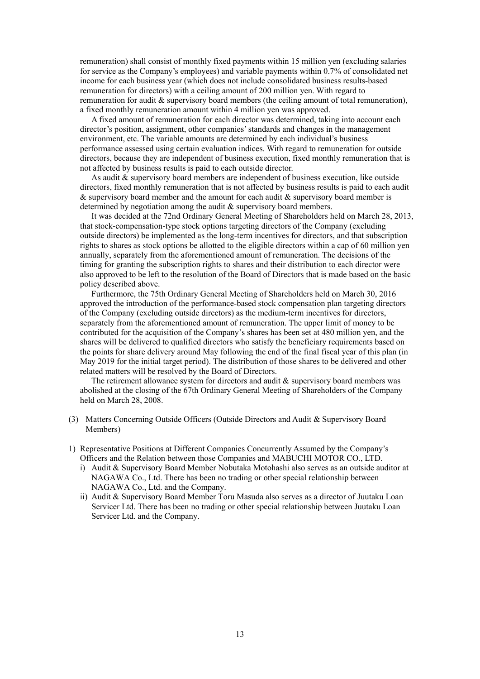remuneration) shall consist of monthly fixed payments within 15 million yen (excluding salaries for service as the Company's employees) and variable payments within 0.7% of consolidated net income for each business year (which does not include consolidated business results-based remuneration for directors) with a ceiling amount of 200 million yen. With regard to remuneration for audit & supervisory board members (the ceiling amount of total remuneration), a fixed monthly remuneration amount within 4 million yen was approved.

A fixed amount of remuneration for each director was determined, taking into account each director's position, assignment, other companies' standards and changes in the management environment, etc. The variable amounts are determined by each individual's business performance assessed using certain evaluation indices. With regard to remuneration for outside directors, because they are independent of business execution, fixed monthly remuneration that is not affected by business results is paid to each outside director.

As audit & supervisory board members are independent of business execution, like outside directors, fixed monthly remuneration that is not affected by business results is paid to each audit  $\&$  supervisory board member and the amount for each audit  $\&$  supervisory board member is determined by negotiation among the audit & supervisory board members.

It was decided at the 72nd Ordinary General Meeting of Shareholders held on March 28, 2013, that stock-compensation-type stock options targeting directors of the Company (excluding outside directors) be implemented as the long-term incentives for directors, and that subscription rights to shares as stock options be allotted to the eligible directors within a cap of 60 million yen annually, separately from the aforementioned amount of remuneration. The decisions of the timing for granting the subscription rights to shares and their distribution to each director were also approved to be left to the resolution of the Board of Directors that is made based on the basic policy described above.

Furthermore, the 75th Ordinary General Meeting of Shareholders held on March 30, 2016 approved the introduction of the performance-based stock compensation plan targeting directors of the Company (excluding outside directors) as the medium-term incentives for directors, separately from the aforementioned amount of remuneration. The upper limit of money to be contributed for the acquisition of the Company's shares has been set at 480 million yen, and the shares will be delivered to qualified directors who satisfy the beneficiary requirements based on the points for share delivery around May following the end of the final fiscal year of this plan (in May 2019 for the initial target period). The distribution of those shares to be delivered and other related matters will be resolved by the Board of Directors.

The retirement allowance system for directors and audit & supervisory board members was abolished at the closing of the 67th Ordinary General Meeting of Shareholders of the Company held on March 28, 2008.

- (3) Matters Concerning Outside Officers (Outside Directors and Audit & Supervisory Board Members)
- 1) Representative Positions at Different Companies Concurrently Assumed by the Company's Officers and the Relation between those Companies and MABUCHI MOTOR CO., LTD.
	- i) Audit & Supervisory Board Member Nobutaka Motohashi also serves as an outside auditor at NAGAWA Co., Ltd. There has been no trading or other special relationship between NAGAWA Co., Ltd. and the Company.
	- ii) Audit & Supervisory Board Member Toru Masuda also serves as a director of Juutaku Loan Servicer Ltd. There has been no trading or other special relationship between Juutaku Loan Servicer Ltd. and the Company.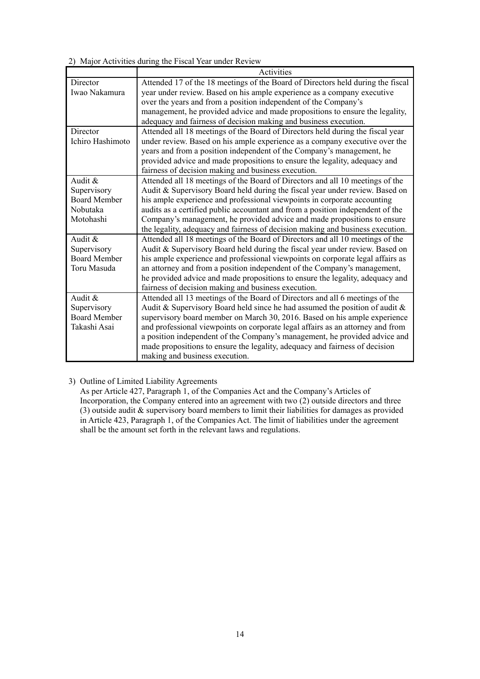2) Major Activities during the Fiscal Year under Review

|                     | Activities                                                                      |
|---------------------|---------------------------------------------------------------------------------|
| Director            | Attended 17 of the 18 meetings of the Board of Directors held during the fiscal |
| Iwao Nakamura       | year under review. Based on his ample experience as a company executive         |
|                     | over the years and from a position independent of the Company's                 |
|                     | management, he provided advice and made propositions to ensure the legality,    |
|                     | adequacy and fairness of decision making and business execution.                |
| Director            | Attended all 18 meetings of the Board of Directors held during the fiscal year  |
| Ichiro Hashimoto    | under review. Based on his ample experience as a company executive over the     |
|                     | years and from a position independent of the Company's management, he           |
|                     | provided advice and made propositions to ensure the legality, adequacy and      |
|                     | fairness of decision making and business execution.                             |
| Audit &             | Attended all 18 meetings of the Board of Directors and all 10 meetings of the   |
| Supervisory         | Audit & Supervisory Board held during the fiscal year under review. Based on    |
| <b>Board Member</b> | his ample experience and professional viewpoints in corporate accounting        |
| Nobutaka            | audits as a certified public accountant and from a position independent of the  |
| Motohashi           | Company's management, he provided advice and made propositions to ensure        |
|                     | the legality, adequacy and fairness of decision making and business execution.  |
| Audit &             | Attended all 18 meetings of the Board of Directors and all 10 meetings of the   |
| Supervisory         | Audit & Supervisory Board held during the fiscal year under review. Based on    |
| <b>Board Member</b> | his ample experience and professional viewpoints on corporate legal affairs as  |
| Toru Masuda         | an attorney and from a position independent of the Company's management,        |
|                     | he provided advice and made propositions to ensure the legality, adequacy and   |
|                     | fairness of decision making and business execution.                             |
| Audit &             | Attended all 13 meetings of the Board of Directors and all 6 meetings of the    |
| Supervisory         | Audit & Supervisory Board held since he had assumed the position of audit $\&$  |
| <b>Board Member</b> | supervisory board member on March 30, 2016. Based on his ample experience       |
| Takashi Asai        | and professional viewpoints on corporate legal affairs as an attorney and from  |
|                     | a position independent of the Company's management, he provided advice and      |
|                     | made propositions to ensure the legality, adequacy and fairness of decision     |
|                     | making and business execution.                                                  |

# 3) Outline of Limited Liability Agreements

As per Article 427, Paragraph 1, of the Companies Act and the Company's Articles of Incorporation, the Company entered into an agreement with two  $(2)$  outside directors and three (3) outside audit & supervisory board members to limit their liabilities for damages as provided in Article 423, Paragraph 1, of the Companies Act. The limit of liabilities under the agreement shall be the amount set forth in the relevant laws and regulations.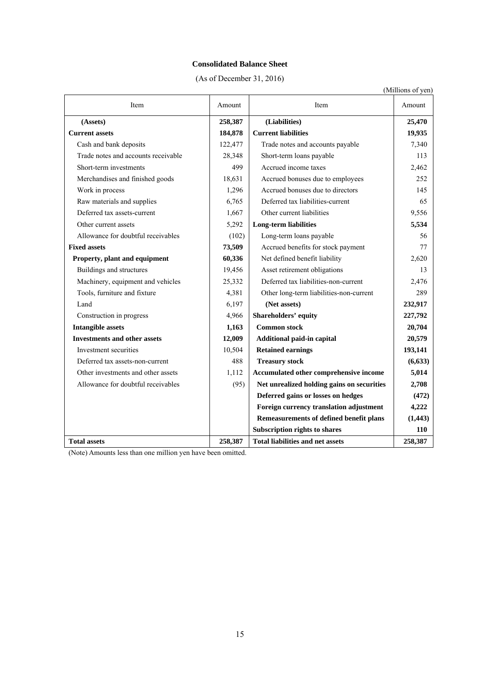#### **Consolidated Balance Sheet**

(As of December 31, 2016)

|                                     |         |                                            | (Millions of yen) |
|-------------------------------------|---------|--------------------------------------------|-------------------|
| Item                                | Amount  | Item                                       | Amount            |
| (Assets)                            | 258,387 | (Liabilities)                              | 25,470            |
| <b>Current assets</b>               | 184,878 | <b>Current liabilities</b>                 | 19,935            |
| Cash and bank deposits              | 122,477 | Trade notes and accounts payable           | 7,340             |
| Trade notes and accounts receivable | 28,348  | Short-term loans payable                   | 113               |
| Short-term investments              | 499     | Accrued income taxes                       | 2,462             |
| Merchandises and finished goods     | 18,631  | Accrued bonuses due to employees           | 252               |
| Work in process                     | 1,296   | Accrued bonuses due to directors           | 145               |
| Raw materials and supplies          | 6,765   | Deferred tax liabilities-current           | 65                |
| Deferred tax assets-current         | 1,667   | Other current liabilities                  | 9,556             |
| Other current assets                | 5,292   | <b>Long-term liabilities</b>               | 5,534             |
| Allowance for doubtful receivables  | (102)   | Long-term loans payable                    | 56                |
| <b>Fixed assets</b>                 | 73,509  | Accrued benefits for stock payment         | 77                |
| Property, plant and equipment       | 60,336  | Net defined benefit liability              | 2,620             |
| Buildings and structures            | 19,456  | Asset retirement obligations               | 13                |
| Machinery, equipment and vehicles   | 25,332  | Deferred tax liabilities-non-current       | 2,476             |
| Tools, furniture and fixture        | 4,381   | Other long-term liabilities-non-current    | 289               |
| Land                                | 6,197   | (Net assets)                               | 232,917           |
| Construction in progress            | 4,966   | Shareholders' equity                       | 227,792           |
| <b>Intangible assets</b>            | 1,163   | <b>Common stock</b>                        | 20,704            |
| <b>Investments and other assets</b> | 12,009  | Additional paid-in capital                 | 20,579            |
| Investment securities               | 10,504  | <b>Retained earnings</b>                   | 193,141           |
| Deferred tax assets-non-current     | 488     | <b>Treasury stock</b>                      | (6, 633)          |
| Other investments and other assets  | 1,112   | Accumulated other comprehensive income     | 5,014             |
| Allowance for doubtful receivables  | (95)    | Net unrealized holding gains on securities | 2,708             |
|                                     |         | Deferred gains or losses on hedges         | (472)             |
|                                     |         | Foreign currency translation adjustment    | 4,222             |
|                                     |         | Remeasurements of defined benefit plans    | (1, 443)          |
|                                     |         | <b>Subscription rights to shares</b>       | 110               |
| <b>Total assets</b>                 | 258,387 | <b>Total liabilities and net assets</b>    | 258,387           |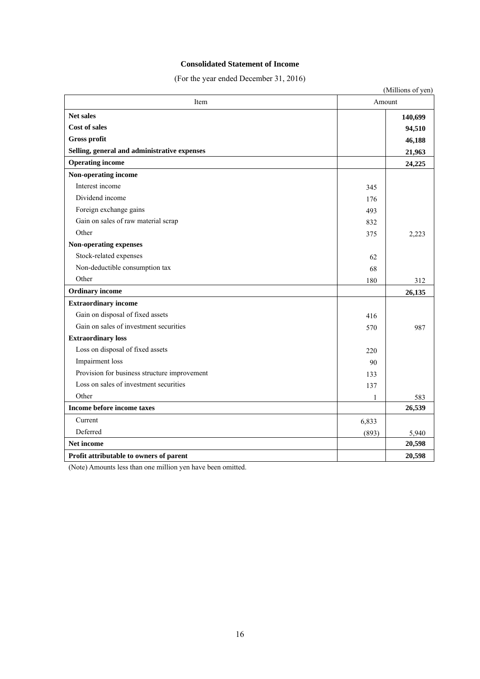#### **Consolidated Statement of Income**

(For the year ended December 31, 2016)

|                                              |       | (Millions of yen) |
|----------------------------------------------|-------|-------------------|
| Item<br>Amount                               |       |                   |
| <b>Net sales</b><br><b>Cost of sales</b>     |       | 140,699           |
|                                              |       | 94,510            |
| <b>Gross profit</b>                          |       | 46,188            |
| Selling, general and administrative expenses |       | 21,963            |
| <b>Operating income</b>                      |       | 24,225            |
| Non-operating income                         |       |                   |
| Interest income                              | 345   |                   |
| Dividend income                              | 176   |                   |
| Foreign exchange gains                       | 493   |                   |
| Gain on sales of raw material scrap          | 832   |                   |
| Other                                        | 375   | 2,223             |
| Non-operating expenses                       |       |                   |
| Stock-related expenses                       | 62    |                   |
| Non-deductible consumption tax               | 68    |                   |
| Other                                        | 180   | 312               |
| <b>Ordinary</b> income                       |       | 26,135            |
| <b>Extraordinary income</b>                  |       |                   |
| Gain on disposal of fixed assets             | 416   |                   |
| Gain on sales of investment securities       | 570   | 987               |
| <b>Extraordinary loss</b>                    |       |                   |
| Loss on disposal of fixed assets             | 220   |                   |
| Impairment loss                              | 90    |                   |
| Provision for business structure improvement | 133   |                   |
| Loss on sales of investment securities       | 137   |                   |
| Other                                        | 1     | 583               |
| Income before income taxes                   |       | 26,539            |
| Current                                      | 6,833 |                   |
| Deferred                                     | (893) | 5,940             |
| Net income                                   |       | 20,598            |
| Profit attributable to owners of parent      |       | 20,598            |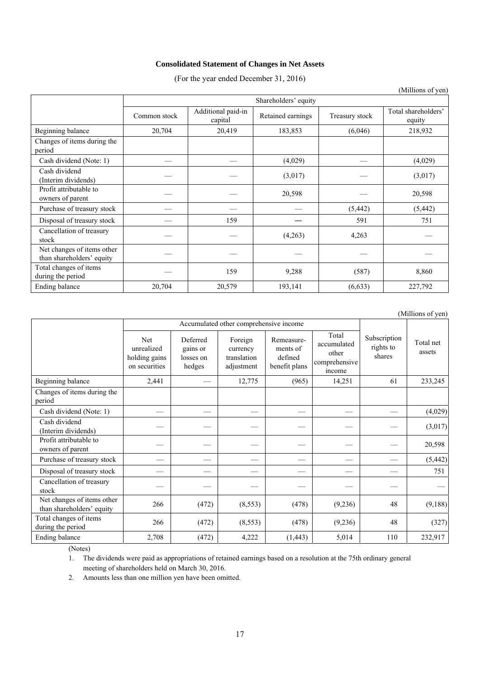#### **Consolidated Statement of Changes in Net Assets**

(For the year ended December 31, 2016)

|                                                         |              |                               |                   |                | $($ <sup>1</sup>              |  |  |  |
|---------------------------------------------------------|--------------|-------------------------------|-------------------|----------------|-------------------------------|--|--|--|
|                                                         |              | Shareholders' equity          |                   |                |                               |  |  |  |
|                                                         | Common stock | Additional paid-in<br>capital | Retained earnings | Treasury stock | Total shareholders'<br>equity |  |  |  |
| Beginning balance                                       | 20,704       | 20,419                        | 183,853           | (6,046)        | 218,932                       |  |  |  |
| Changes of items during the<br>period                   |              |                               |                   |                |                               |  |  |  |
| Cash dividend (Note: 1)                                 |              |                               | (4,029)           |                | (4,029)                       |  |  |  |
| Cash dividend<br>(Interim dividends)                    |              |                               | (3,017)           |                | (3,017)                       |  |  |  |
| Profit attributable to<br>owners of parent              |              |                               | 20,598            |                | 20,598                        |  |  |  |
| Purchase of treasury stock                              |              |                               |                   | (5, 442)       | (5, 442)                      |  |  |  |
| Disposal of treasury stock                              |              | 159                           |                   | 591            | 751                           |  |  |  |
| Cancellation of treasury<br>stock                       |              |                               | (4,263)           | 4,263          |                               |  |  |  |
| Net changes of items other<br>than shareholders' equity |              |                               |                   |                |                               |  |  |  |
| Total changes of items<br>during the period             |              | 159                           | 9,288             | (587)          | 8,860                         |  |  |  |
| Ending balance                                          | 20,704       | 20,579                        | 193,141           | (6, 633)       | 227,792                       |  |  |  |

(Millions of yen)

|                                                         | Accumulated other comprehensive income                     |                                             |                                                  |                                                    |                                                          |                                     |                     |
|---------------------------------------------------------|------------------------------------------------------------|---------------------------------------------|--------------------------------------------------|----------------------------------------------------|----------------------------------------------------------|-------------------------------------|---------------------|
|                                                         | <b>Net</b><br>unrealized<br>holding gains<br>on securities | Deferred<br>gains or<br>losses on<br>hedges | Foreign<br>currency<br>translation<br>adjustment | Remeasure-<br>ments of<br>defined<br>benefit plans | Total<br>accumulated<br>other<br>comprehensive<br>income | Subscription<br>rights to<br>shares | Total net<br>assets |
| Beginning balance                                       | 2,441                                                      |                                             | 12,775                                           | (965)                                              | 14,251                                                   | 61                                  | 233,245             |
| Changes of items during the<br>period                   |                                                            |                                             |                                                  |                                                    |                                                          |                                     |                     |
| Cash dividend (Note: 1)                                 |                                                            |                                             |                                                  |                                                    |                                                          |                                     | (4,029)             |
| Cash dividend<br>(Interim dividends)                    |                                                            |                                             |                                                  |                                                    |                                                          |                                     | (3,017)             |
| Profit attributable to<br>owners of parent              |                                                            |                                             |                                                  |                                                    |                                                          |                                     | 20,598              |
| Purchase of treasury stock                              |                                                            |                                             |                                                  |                                                    |                                                          |                                     | (5, 442)            |
| Disposal of treasury stock                              |                                                            |                                             |                                                  |                                                    |                                                          |                                     | 751                 |
| Cancellation of treasury<br>stock                       |                                                            |                                             |                                                  |                                                    |                                                          |                                     |                     |
| Net changes of items other<br>than shareholders' equity | 266                                                        | (472)                                       | (8, 553)                                         | (478)                                              | (9,236)                                                  | 48                                  | (9,188)             |
| Total changes of items<br>during the period             | 266                                                        | (472)                                       | (8, 553)                                         | (478)                                              | (9,236)                                                  | 48                                  | (327)               |
| Ending balance                                          | 2,708                                                      | (472)                                       | 4,222                                            | (1, 443)                                           | 5,014                                                    | 110                                 | 232,917             |

(Notes)

1. The dividends were paid as appropriations of retained earnings based on a resolution at the 75th ordinary general meeting of shareholders held on March 30, 2016.

2. Amounts less than one million yen have been omitted.

(Millions of yen)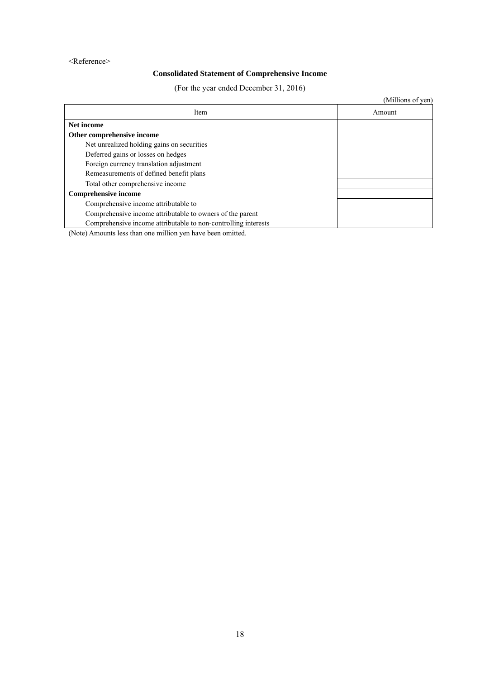#### <Reference>

# **Consolidated Statement of Comprehensive Income**

(For the year ended December 31, 2016)

|                                                                | (Millions of yen) |
|----------------------------------------------------------------|-------------------|
| Item                                                           | Amount            |
| Net income                                                     |                   |
| Other comprehensive income                                     |                   |
| Net unrealized holding gains on securities                     |                   |
| Deferred gains or losses on hedges                             |                   |
| Foreign currency translation adjustment                        |                   |
| Remeasurements of defined benefit plans                        |                   |
| Total other comprehensive income                               |                   |
| <b>Comprehensive income</b>                                    |                   |
| Comprehensive income attributable to                           |                   |
| Comprehensive income attributable to owners of the parent      |                   |
| Comprehensive income attributable to non-controlling interests |                   |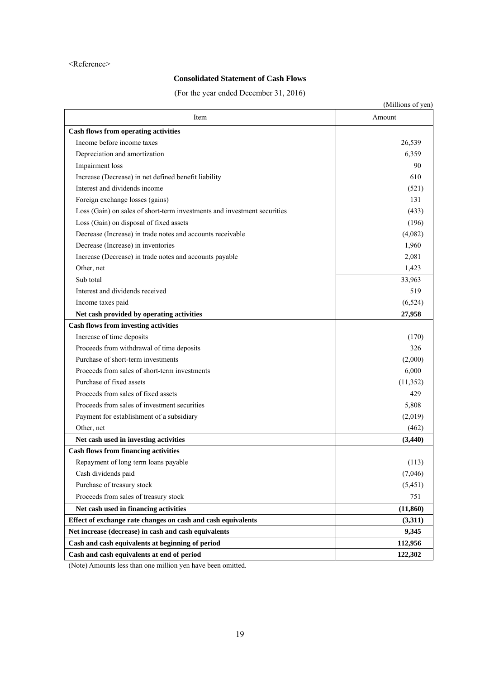#### <Reference>

# **Consolidated Statement of Cash Flows**

(For the year ended December 31, 2016)

|                                                                          | (Millions of yen) |
|--------------------------------------------------------------------------|-------------------|
| Item                                                                     | Amount            |
| <b>Cash flows from operating activities</b>                              |                   |
| Income before income taxes                                               | 26,539            |
| Depreciation and amortization                                            | 6,359             |
| Impairment loss                                                          | 90                |
| Increase (Decrease) in net defined benefit liability                     | 610               |
| Interest and dividends income                                            | (521)             |
| Foreign exchange losses (gains)                                          | 131               |
| Loss (Gain) on sales of short-term investments and investment securities | (433)             |
| Loss (Gain) on disposal of fixed assets                                  | (196)             |
| Decrease (Increase) in trade notes and accounts receivable               | (4,082)           |
| Decrease (Increase) in inventories                                       | 1,960             |
| Increase (Decrease) in trade notes and accounts payable                  | 2,081             |
| Other, net                                                               | 1,423             |
| Sub total                                                                | 33,963            |
| Interest and dividends received                                          | 519               |
| Income taxes paid                                                        | (6, 524)          |
| Net cash provided by operating activities                                | 27,958            |
| <b>Cash flows from investing activities</b>                              |                   |
| Increase of time deposits                                                | (170)             |
| Proceeds from withdrawal of time deposits                                | 326               |
| Purchase of short-term investments                                       | (2,000)           |
| Proceeds from sales of short-term investments                            | 6,000             |
| Purchase of fixed assets                                                 | (11,352)          |
| Proceeds from sales of fixed assets                                      | 429               |
| Proceeds from sales of investment securities                             | 5,808             |
| Payment for establishment of a subsidiary                                | (2,019)           |
| Other, net                                                               | (462)             |
| Net cash used in investing activities                                    | (3, 440)          |
| <b>Cash flows from financing activities</b>                              |                   |
| Repayment of long term loans payable                                     | (113)             |
| Cash dividends paid                                                      | (7,046)           |
| Purchase of treasury stock                                               | (5, 451)          |
| Proceeds from sales of treasury stock                                    | 751               |
| Net cash used in financing activities                                    | (11, 860)         |
| Effect of exchange rate changes on cash and cash equivalents             | (3,311)           |
| Net increase (decrease) in cash and cash equivalents                     | 9,345             |
| Cash and cash equivalents at beginning of period                         | 112,956           |
| Cash and cash equivalents at end of period                               | 122,302           |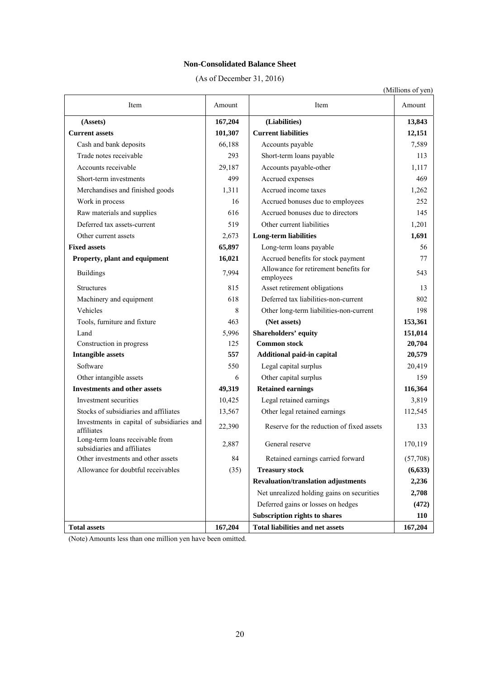#### **Non-Consolidated Balance Sheet**

(As of December 31, 2016)

|                                                                |         |                                                    | (Millions of yen) |
|----------------------------------------------------------------|---------|----------------------------------------------------|-------------------|
| Item                                                           | Amount  | Item                                               | Amount            |
| (Assets)                                                       | 167,204 | (Liabilities)                                      | 13,843            |
| <b>Current assets</b>                                          | 101,307 | <b>Current liabilities</b>                         | 12,151            |
| Cash and bank deposits                                         | 66,188  | Accounts payable                                   | 7,589             |
| Trade notes receivable                                         | 293     | Short-term loans payable                           | 113               |
| Accounts receivable                                            | 29,187  | Accounts payable-other                             | 1,117             |
| Short-term investments                                         | 499     | Accrued expenses                                   | 469               |
| Merchandises and finished goods                                | 1,311   | Accrued income taxes                               | 1,262             |
| Work in process                                                | 16      | Accrued bonuses due to employees                   | 252               |
| Raw materials and supplies                                     | 616     | Accrued bonuses due to directors                   | 145               |
| Deferred tax assets-current                                    | 519     | Other current liabilities                          | 1,201             |
| Other current assets                                           | 2,673   | <b>Long-term liabilities</b>                       | 1,691             |
| <b>Fixed assets</b>                                            | 65,897  | Long-term loans payable                            | 56                |
| Property, plant and equipment                                  | 16,021  | Accrued benefits for stock payment                 | 77                |
| <b>Buildings</b>                                               | 7,994   | Allowance for retirement benefits for<br>employees | 543               |
| <b>Structures</b>                                              | 815     | Asset retirement obligations                       | 13                |
| Machinery and equipment                                        | 618     | Deferred tax liabilities-non-current               | 802               |
| Vehicles                                                       | 8       | Other long-term liabilities-non-current            | 198               |
| Tools, furniture and fixture                                   | 463     | (Net assets)                                       | 153,361           |
| Land                                                           | 5,996   | Shareholders' equity                               | 151,014           |
| Construction in progress                                       | 125     | <b>Common stock</b>                                | 20,704            |
| <b>Intangible assets</b>                                       | 557     | Additional paid-in capital                         | 20,579            |
| Software                                                       | 550     | Legal capital surplus                              | 20,419            |
| Other intangible assets                                        | 6       | Other capital surplus                              | 159               |
| <b>Investments and other assets</b>                            | 49,319  | <b>Retained earnings</b>                           | 116,364           |
| Investment securities                                          | 10,425  | Legal retained earnings                            | 3,819             |
| Stocks of subsidiaries and affiliates                          | 13,567  | Other legal retained earnings                      | 112,545           |
| Investments in capital of subsidiaries and<br>affiliates       | 22,390  | Reserve for the reduction of fixed assets          | 133               |
| Long-term loans receivable from<br>subsidiaries and affiliates | 2,887   | General reserve                                    | 170,119           |
| Other investments and other assets                             | 84      | Retained earnings carried forward                  | (57,708)          |
| Allowance for doubtful receivables                             | (35)    | <b>Treasury stock</b>                              | (6, 633)          |
|                                                                |         | <b>Revaluation/translation adjustments</b>         | 2,236             |
|                                                                |         | Net unrealized holding gains on securities         | 2,708             |
|                                                                |         | Deferred gains or losses on hedges                 | (472)             |
|                                                                |         | <b>Subscription rights to shares</b>               | 110               |
| <b>Total assets</b>                                            | 167,204 | <b>Total liabilities and net assets</b>            | 167,204           |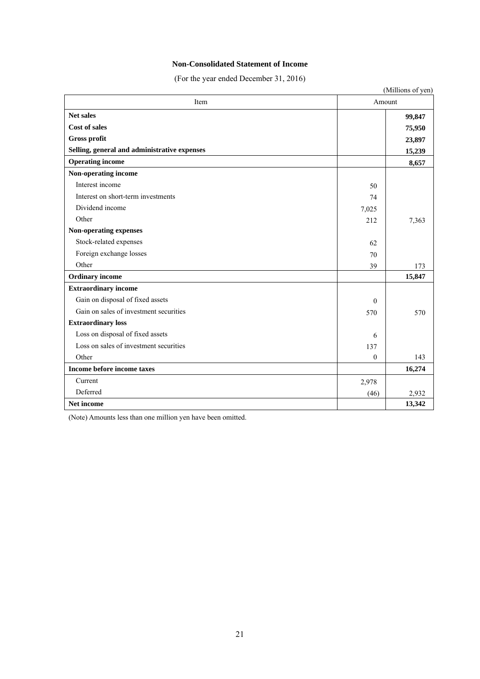### **Non-Consolidated Statement of Income**

(For the year ended December 31, 2016)

| Item                                         | Amount       |        |
|----------------------------------------------|--------------|--------|
| Net sales                                    |              | 99,847 |
| <b>Cost of sales</b>                         |              | 75,950 |
| Gross profit                                 |              | 23,897 |
| Selling, general and administrative expenses |              | 15,239 |
| <b>Operating income</b>                      |              | 8,657  |
| Non-operating income                         |              |        |
| Interest income                              | 50           |        |
| Interest on short-term investments           | 74           |        |
| Dividend income                              | 7,025        |        |
| Other                                        | 212          | 7,363  |
| Non-operating expenses                       |              |        |
| Stock-related expenses                       | 62           |        |
| Foreign exchange losses                      | 70           |        |
| Other                                        | 39           | 173    |
| <b>Ordinary</b> income                       |              | 15,847 |
| <b>Extraordinary income</b>                  |              |        |
| Gain on disposal of fixed assets             | $\theta$     |        |
| Gain on sales of investment securities       | 570          | 570    |
| <b>Extraordinary loss</b>                    |              |        |
| Loss on disposal of fixed assets             | 6            |        |
| Loss on sales of investment securities       | 137          |        |
| Other                                        | $\mathbf{0}$ | 143    |
| Income before income taxes                   |              | 16,274 |
| Current                                      | 2,978        |        |
| Deferred                                     | (46)         | 2,932  |
| Net income                                   |              | 13,342 |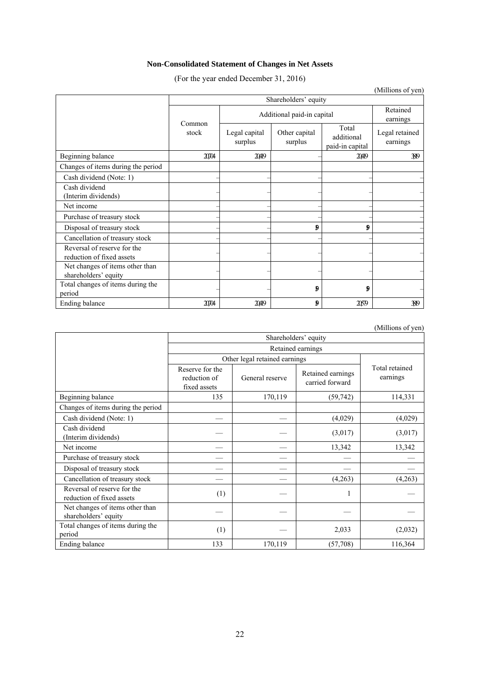# **Non-Consolidated Statement of Changes in Net Assets**

(For the year ended December 31, 2016)

|                                                          |                      |                            |                          |                                        | (Millions of yen)          |  |  |
|----------------------------------------------------------|----------------------|----------------------------|--------------------------|----------------------------------------|----------------------------|--|--|
|                                                          | Shareholders' equity |                            |                          |                                        |                            |  |  |
|                                                          | Common               | Additional paid-in capital |                          |                                        |                            |  |  |
|                                                          | stock                | Legal capital<br>surplus   | Other capital<br>surplus | Total<br>additional<br>paid-in capital | Legal retained<br>earnings |  |  |
| Beginning balance                                        | 20704                | 2049                       |                          | 2040                                   | $\mathbb{R}^{9}$           |  |  |
| Changes of items during the period                       |                      |                            |                          |                                        |                            |  |  |
| Cash dividend (Note: 1)                                  |                      |                            |                          |                                        |                            |  |  |
| Cash dividend<br>(Interim dividends)                     |                      |                            |                          |                                        |                            |  |  |
| Net income                                               |                      |                            |                          |                                        |                            |  |  |
| Purchase of treasury stock                               |                      |                            |                          |                                        |                            |  |  |
| Disposal of treasury stock                               |                      |                            | đ                        | 9                                      |                            |  |  |
| Cancellation of treasury stock                           |                      |                            |                          |                                        |                            |  |  |
| Reversal of reserve for the<br>reduction of fixed assets |                      |                            |                          |                                        |                            |  |  |
| Net changes of items other than<br>shareholders' equity  |                      |                            |                          |                                        |                            |  |  |
| Total changes of items during the<br>period              |                      |                            | đ                        | 9                                      |                            |  |  |
| Ending balance                                           | 20704                | 20419                      | đ                        | 2059                                   | 389                        |  |  |

(Millions of yen)

|                                                          | Shareholders' equity                            |                               |                                      |                            |  |  |  |
|----------------------------------------------------------|-------------------------------------------------|-------------------------------|--------------------------------------|----------------------------|--|--|--|
|                                                          |                                                 |                               | Retained earnings                    |                            |  |  |  |
|                                                          |                                                 | Other legal retained earnings |                                      |                            |  |  |  |
|                                                          | Reserve for the<br>reduction of<br>fixed assets | General reserve               | Retained earnings<br>carried forward | Total retained<br>earnings |  |  |  |
| Beginning balance                                        | 135                                             | 170,119                       | (59, 742)                            | 114,331                    |  |  |  |
| Changes of items during the period                       |                                                 |                               |                                      |                            |  |  |  |
| Cash dividend (Note: 1)                                  |                                                 |                               | (4,029)                              | (4,029)                    |  |  |  |
| Cash dividend<br>(Interim dividends)                     |                                                 |                               | (3,017)                              | (3,017)                    |  |  |  |
| Net income                                               |                                                 |                               | 13,342                               | 13,342                     |  |  |  |
| Purchase of treasury stock                               |                                                 |                               |                                      |                            |  |  |  |
| Disposal of treasury stock                               |                                                 |                               |                                      |                            |  |  |  |
| Cancellation of treasury stock                           |                                                 |                               | (4,263)                              | (4,263)                    |  |  |  |
| Reversal of reserve for the<br>reduction of fixed assets | (1)                                             |                               |                                      |                            |  |  |  |
| Net changes of items other than<br>shareholders' equity  |                                                 |                               |                                      |                            |  |  |  |
| Total changes of items during the<br>period              | (1)                                             |                               | 2,033                                | (2,032)                    |  |  |  |
| Ending balance                                           | 133                                             | 170,119                       | (57,708)                             | 116,364                    |  |  |  |

22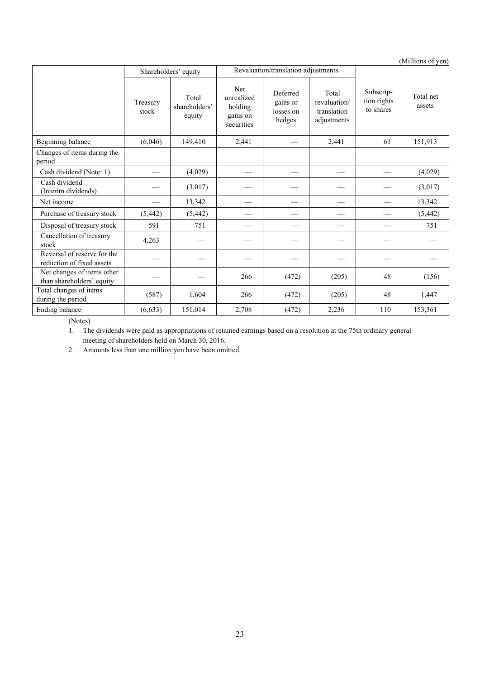|                                                          |                   |                                  |                                                        |                                             |                                                     |                                       | (Millions of yen)   |
|----------------------------------------------------------|-------------------|----------------------------------|--------------------------------------------------------|---------------------------------------------|-----------------------------------------------------|---------------------------------------|---------------------|
|                                                          |                   | Shareholders' equity             |                                                        | Revaluation/translation adjustments         |                                                     |                                       |                     |
|                                                          | Treasury<br>stock | Total<br>shareholders'<br>equity | Net<br>unrealized<br>holding<br>gains on<br>securities | Deferred<br>gains or<br>losses on<br>hedges | Total<br>revaluation/<br>translation<br>adjustments | Subscrip-<br>tion rights<br>to shares | Total net<br>assets |
| Beginning balance                                        | (6,046)           | 149,410                          | 2,441                                                  |                                             | 2,441                                               | 61                                    | 151,913             |
| Changes of items during the<br>period                    |                   |                                  |                                                        |                                             |                                                     |                                       |                     |
| Cash dividend (Note: 1)                                  |                   | (4,029)                          |                                                        |                                             |                                                     |                                       | (4,029)             |
| Cash dividend<br>(Interim dividends)                     |                   | (3,017)                          |                                                        |                                             |                                                     |                                       | (3,017)             |
| Net income                                               |                   | 13,342                           | --                                                     |                                             |                                                     |                                       | 13,342              |
| Purchase of treasury stock                               | (5, 442)          | (5, 442)                         |                                                        |                                             |                                                     |                                       | (5, 442)            |
| Disposal of treasury stock                               | 591               | 751                              |                                                        |                                             |                                                     | $\overline{\phantom{0}}$              | 751                 |
| Cancellation of treasury<br>stock                        | 4,263             |                                  |                                                        |                                             |                                                     |                                       |                     |
| Reversal of reserve for the<br>reduction of fixed assets |                   |                                  |                                                        |                                             |                                                     |                                       |                     |
| Net changes of items other<br>than shareholders' equity  |                   |                                  | 266                                                    | (472)                                       | (205)                                               | 48                                    | (156)               |
| Total changes of items<br>during the period              | (587)             | 1,604                            | 266                                                    | (472)                                       | (205)                                               | 48                                    | 1,447               |
| Ending balance                                           | (6, 633)          | 151,014                          | 2,708                                                  | (472)                                       | 2,236                                               | 110                                   | 153,361             |

(Notes)

1. The dividends were paid as appropriations of retained earnings based on a resolution at the 75th ordinary general meeting of shareholders held on March 30, 2016.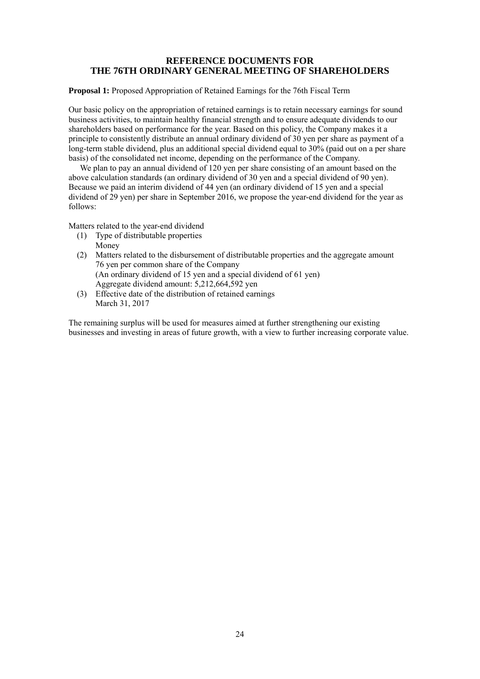## **REFERENCE DOCUMENTS FOR THE 76TH ORDINARY GENERAL MEETING OF SHAREHOLDERS**

**Proposal 1:** Proposed Appropriation of Retained Earnings for the 76th Fiscal Term

Our basic policy on the appropriation of retained earnings is to retain necessary earnings for sound business activities, to maintain healthy financial strength and to ensure adequate dividends to our shareholders based on performance for the year. Based on this policy, the Company makes it a principle to consistently distribute an annual ordinary dividend of 30 yen per share as payment of a long-term stable dividend, plus an additional special dividend equal to 30% (paid out on a per share basis) of the consolidated net income, depending on the performance of the Company.

We plan to pay an annual dividend of 120 yen per share consisting of an amount based on the above calculation standards (an ordinary dividend of 30 yen and a special dividend of 90 yen). Because we paid an interim dividend of 44 yen (an ordinary dividend of 15 yen and a special dividend of 29 yen) per share in September 2016, we propose the year-end dividend for the year as follows:

Matters related to the year-end dividend

- (1) Type of distributable properties Money
- (2) Matters related to the disbursement of distributable properties and the aggregate amount 76 yen per common share of the Company (An ordinary dividend of 15 yen and a special dividend of 61 yen) Aggregate dividend amount: 5,212,664,592 yen
- (3) Effective date of the distribution of retained earnings March 31, 2017

The remaining surplus will be used for measures aimed at further strengthening our existing businesses and investing in areas of future growth, with a view to further increasing corporate value.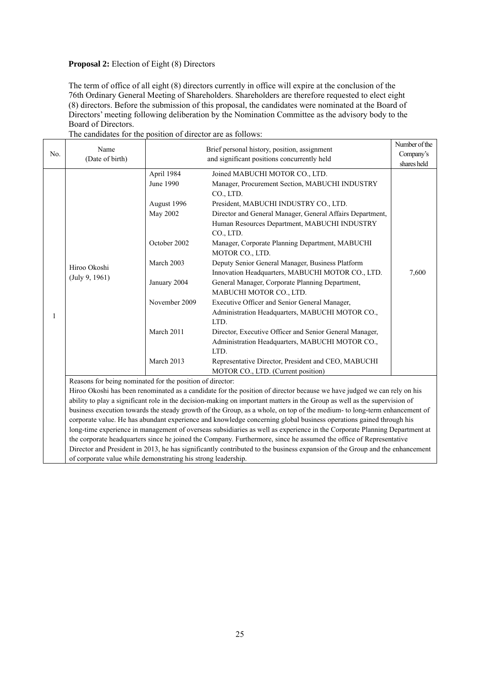### **Proposal 2:** Election of Eight (8) Directors

The term of office of all eight (8) directors currently in office will expire at the conclusion of the 76th Ordinary General Meeting of Shareholders. Shareholders are therefore requested to elect eight (8) directors. Before the submission of this proposal, the candidates were nominated at the Board of Directors' meeting following deliberation by the Nomination Committee as the advisory body to the Board of Directors.

|     | Name                                                                                                                     |                                                                                                                                                                                                                                                                                                                                                                                                                                                                                                                                                                                                                                                                                                                                                                                                                                                                                                                                                                                                                                                                                                                                                                                                                                                                                                                                                                                                                                                                                                                                                                                                                                                                                |           | Number of the |  |  |  |
|-----|--------------------------------------------------------------------------------------------------------------------------|--------------------------------------------------------------------------------------------------------------------------------------------------------------------------------------------------------------------------------------------------------------------------------------------------------------------------------------------------------------------------------------------------------------------------------------------------------------------------------------------------------------------------------------------------------------------------------------------------------------------------------------------------------------------------------------------------------------------------------------------------------------------------------------------------------------------------------------------------------------------------------------------------------------------------------------------------------------------------------------------------------------------------------------------------------------------------------------------------------------------------------------------------------------------------------------------------------------------------------------------------------------------------------------------------------------------------------------------------------------------------------------------------------------------------------------------------------------------------------------------------------------------------------------------------------------------------------------------------------------------------------------------------------------------------------|-----------|---------------|--|--|--|
| No. | (Date of birth)                                                                                                          | Brief personal history, position, assignment<br>and significant positions concurrently held<br>April 1984<br>Joined MABUCHI MOTOR CO., LTD.<br>Manager, Procurement Section, MABUCHI INDUSTRY<br>CO., LTD.<br>President, MABUCHI INDUSTRY CO., LTD.<br>Director and General Manager, General Affairs Department,<br>Human Resources Department, MABUCHI INDUSTRY<br>CO., LTD.<br>Manager, Corporate Planning Department, MABUCHI<br>MOTOR CO., LTD.<br>Deputy Senior General Manager, Business Platform<br>Innovation Headquarters, MABUCHI MOTOR CO., LTD.<br>General Manager, Corporate Planning Department,<br>MABUCHI MOTOR CO., LTD.<br>Executive Officer and Senior General Manager,<br>Administration Headquarters, MABUCHI MOTOR CO.,<br>LTD.<br>Director, Executive Officer and Senior General Manager,<br>Administration Headquarters, MABUCHI MOTOR CO.,<br>LTD.<br>Representative Director, President and CEO, MABUCHI<br>MOTOR CO., LTD. (Current position)<br>ability to play a significant role in the decision-making on important matters in the Group as well as the supervision of<br>corporate value. He has abundant experience and knowledge concerning global business operations gained through his<br>long-time experience in management of overseas subsidiaries as well as experience in the Corporate Planning Department at<br>the corporate headquarters since he joined the Company. Furthermore, since he assumed the office of Representative<br>Director and President in 2013, he has significantly contributed to the business expansion of the Group and the enhancement<br>of corporate value while demonstrating his strong leadership. | Company's |               |  |  |  |
|     |                                                                                                                          |                                                                                                                                                                                                                                                                                                                                                                                                                                                                                                                                                                                                                                                                                                                                                                                                                                                                                                                                                                                                                                                                                                                                                                                                                                                                                                                                                                                                                                                                                                                                                                                                                                                                                |           | shares held   |  |  |  |
|     |                                                                                                                          |                                                                                                                                                                                                                                                                                                                                                                                                                                                                                                                                                                                                                                                                                                                                                                                                                                                                                                                                                                                                                                                                                                                                                                                                                                                                                                                                                                                                                                                                                                                                                                                                                                                                                |           |               |  |  |  |
|     |                                                                                                                          | June 1990                                                                                                                                                                                                                                                                                                                                                                                                                                                                                                                                                                                                                                                                                                                                                                                                                                                                                                                                                                                                                                                                                                                                                                                                                                                                                                                                                                                                                                                                                                                                                                                                                                                                      |           |               |  |  |  |
|     |                                                                                                                          |                                                                                                                                                                                                                                                                                                                                                                                                                                                                                                                                                                                                                                                                                                                                                                                                                                                                                                                                                                                                                                                                                                                                                                                                                                                                                                                                                                                                                                                                                                                                                                                                                                                                                |           |               |  |  |  |
|     |                                                                                                                          | August 1996                                                                                                                                                                                                                                                                                                                                                                                                                                                                                                                                                                                                                                                                                                                                                                                                                                                                                                                                                                                                                                                                                                                                                                                                                                                                                                                                                                                                                                                                                                                                                                                                                                                                    |           |               |  |  |  |
|     |                                                                                                                          | May 2002                                                                                                                                                                                                                                                                                                                                                                                                                                                                                                                                                                                                                                                                                                                                                                                                                                                                                                                                                                                                                                                                                                                                                                                                                                                                                                                                                                                                                                                                                                                                                                                                                                                                       |           |               |  |  |  |
|     |                                                                                                                          |                                                                                                                                                                                                                                                                                                                                                                                                                                                                                                                                                                                                                                                                                                                                                                                                                                                                                                                                                                                                                                                                                                                                                                                                                                                                                                                                                                                                                                                                                                                                                                                                                                                                                |           |               |  |  |  |
|     |                                                                                                                          |                                                                                                                                                                                                                                                                                                                                                                                                                                                                                                                                                                                                                                                                                                                                                                                                                                                                                                                                                                                                                                                                                                                                                                                                                                                                                                                                                                                                                                                                                                                                                                                                                                                                                |           |               |  |  |  |
|     |                                                                                                                          | October 2002                                                                                                                                                                                                                                                                                                                                                                                                                                                                                                                                                                                                                                                                                                                                                                                                                                                                                                                                                                                                                                                                                                                                                                                                                                                                                                                                                                                                                                                                                                                                                                                                                                                                   |           |               |  |  |  |
|     |                                                                                                                          |                                                                                                                                                                                                                                                                                                                                                                                                                                                                                                                                                                                                                                                                                                                                                                                                                                                                                                                                                                                                                                                                                                                                                                                                                                                                                                                                                                                                                                                                                                                                                                                                                                                                                |           |               |  |  |  |
|     | Hiroo Okoshi                                                                                                             | March 2003                                                                                                                                                                                                                                                                                                                                                                                                                                                                                                                                                                                                                                                                                                                                                                                                                                                                                                                                                                                                                                                                                                                                                                                                                                                                                                                                                                                                                                                                                                                                                                                                                                                                     |           |               |  |  |  |
|     | (July 9, 1961)                                                                                                           |                                                                                                                                                                                                                                                                                                                                                                                                                                                                                                                                                                                                                                                                                                                                                                                                                                                                                                                                                                                                                                                                                                                                                                                                                                                                                                                                                                                                                                                                                                                                                                                                                                                                                |           | 7,600         |  |  |  |
|     |                                                                                                                          | January 2004                                                                                                                                                                                                                                                                                                                                                                                                                                                                                                                                                                                                                                                                                                                                                                                                                                                                                                                                                                                                                                                                                                                                                                                                                                                                                                                                                                                                                                                                                                                                                                                                                                                                   |           |               |  |  |  |
|     |                                                                                                                          |                                                                                                                                                                                                                                                                                                                                                                                                                                                                                                                                                                                                                                                                                                                                                                                                                                                                                                                                                                                                                                                                                                                                                                                                                                                                                                                                                                                                                                                                                                                                                                                                                                                                                |           |               |  |  |  |
|     |                                                                                                                          | November 2009                                                                                                                                                                                                                                                                                                                                                                                                                                                                                                                                                                                                                                                                                                                                                                                                                                                                                                                                                                                                                                                                                                                                                                                                                                                                                                                                                                                                                                                                                                                                                                                                                                                                  |           |               |  |  |  |
| 1   |                                                                                                                          |                                                                                                                                                                                                                                                                                                                                                                                                                                                                                                                                                                                                                                                                                                                                                                                                                                                                                                                                                                                                                                                                                                                                                                                                                                                                                                                                                                                                                                                                                                                                                                                                                                                                                |           |               |  |  |  |
|     |                                                                                                                          |                                                                                                                                                                                                                                                                                                                                                                                                                                                                                                                                                                                                                                                                                                                                                                                                                                                                                                                                                                                                                                                                                                                                                                                                                                                                                                                                                                                                                                                                                                                                                                                                                                                                                |           |               |  |  |  |
|     |                                                                                                                          | March 2011                                                                                                                                                                                                                                                                                                                                                                                                                                                                                                                                                                                                                                                                                                                                                                                                                                                                                                                                                                                                                                                                                                                                                                                                                                                                                                                                                                                                                                                                                                                                                                                                                                                                     |           |               |  |  |  |
|     |                                                                                                                          |                                                                                                                                                                                                                                                                                                                                                                                                                                                                                                                                                                                                                                                                                                                                                                                                                                                                                                                                                                                                                                                                                                                                                                                                                                                                                                                                                                                                                                                                                                                                                                                                                                                                                |           |               |  |  |  |
|     |                                                                                                                          |                                                                                                                                                                                                                                                                                                                                                                                                                                                                                                                                                                                                                                                                                                                                                                                                                                                                                                                                                                                                                                                                                                                                                                                                                                                                                                                                                                                                                                                                                                                                                                                                                                                                                |           |               |  |  |  |
|     |                                                                                                                          | March 2013                                                                                                                                                                                                                                                                                                                                                                                                                                                                                                                                                                                                                                                                                                                                                                                                                                                                                                                                                                                                                                                                                                                                                                                                                                                                                                                                                                                                                                                                                                                                                                                                                                                                     |           |               |  |  |  |
|     |                                                                                                                          |                                                                                                                                                                                                                                                                                                                                                                                                                                                                                                                                                                                                                                                                                                                                                                                                                                                                                                                                                                                                                                                                                                                                                                                                                                                                                                                                                                                                                                                                                                                                                                                                                                                                                |           |               |  |  |  |
|     | Reasons for being nominated for the position of director:                                                                |                                                                                                                                                                                                                                                                                                                                                                                                                                                                                                                                                                                                                                                                                                                                                                                                                                                                                                                                                                                                                                                                                                                                                                                                                                                                                                                                                                                                                                                                                                                                                                                                                                                                                |           |               |  |  |  |
|     | Hiroo Okoshi has been renominated as a candidate for the position of director because we have judged we can rely on his  |                                                                                                                                                                                                                                                                                                                                                                                                                                                                                                                                                                                                                                                                                                                                                                                                                                                                                                                                                                                                                                                                                                                                                                                                                                                                                                                                                                                                                                                                                                                                                                                                                                                                                |           |               |  |  |  |
|     |                                                                                                                          |                                                                                                                                                                                                                                                                                                                                                                                                                                                                                                                                                                                                                                                                                                                                                                                                                                                                                                                                                                                                                                                                                                                                                                                                                                                                                                                                                                                                                                                                                                                                                                                                                                                                                |           |               |  |  |  |
|     | business execution towards the steady growth of the Group, as a whole, on top of the medium- to long-term enhancement of |                                                                                                                                                                                                                                                                                                                                                                                                                                                                                                                                                                                                                                                                                                                                                                                                                                                                                                                                                                                                                                                                                                                                                                                                                                                                                                                                                                                                                                                                                                                                                                                                                                                                                |           |               |  |  |  |
|     |                                                                                                                          |                                                                                                                                                                                                                                                                                                                                                                                                                                                                                                                                                                                                                                                                                                                                                                                                                                                                                                                                                                                                                                                                                                                                                                                                                                                                                                                                                                                                                                                                                                                                                                                                                                                                                |           |               |  |  |  |
|     |                                                                                                                          |                                                                                                                                                                                                                                                                                                                                                                                                                                                                                                                                                                                                                                                                                                                                                                                                                                                                                                                                                                                                                                                                                                                                                                                                                                                                                                                                                                                                                                                                                                                                                                                                                                                                                |           |               |  |  |  |
|     |                                                                                                                          |                                                                                                                                                                                                                                                                                                                                                                                                                                                                                                                                                                                                                                                                                                                                                                                                                                                                                                                                                                                                                                                                                                                                                                                                                                                                                                                                                                                                                                                                                                                                                                                                                                                                                |           |               |  |  |  |
|     |                                                                                                                          |                                                                                                                                                                                                                                                                                                                                                                                                                                                                                                                                                                                                                                                                                                                                                                                                                                                                                                                                                                                                                                                                                                                                                                                                                                                                                                                                                                                                                                                                                                                                                                                                                                                                                |           |               |  |  |  |
|     |                                                                                                                          |                                                                                                                                                                                                                                                                                                                                                                                                                                                                                                                                                                                                                                                                                                                                                                                                                                                                                                                                                                                                                                                                                                                                                                                                                                                                                                                                                                                                                                                                                                                                                                                                                                                                                |           |               |  |  |  |

The candidates for the position of director are as follows: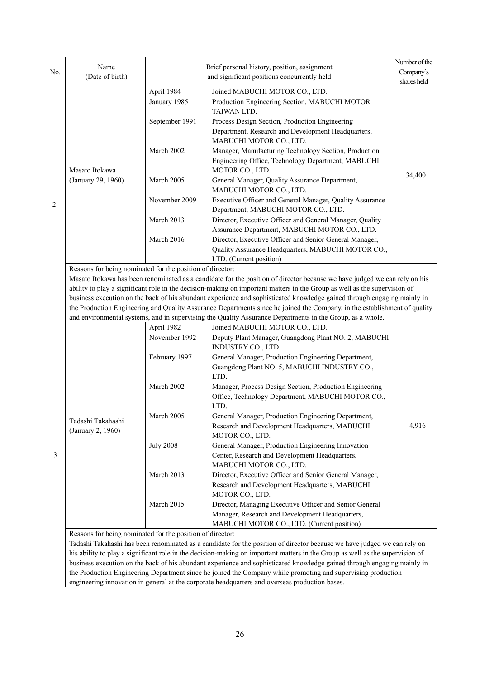|     |                                                                                                                          |                  |                                                                                                                                                                                                                                         | Number of the |  |  |
|-----|--------------------------------------------------------------------------------------------------------------------------|------------------|-----------------------------------------------------------------------------------------------------------------------------------------------------------------------------------------------------------------------------------------|---------------|--|--|
| No. | Name<br>(Date of birth)                                                                                                  |                  | Brief personal history, position, assignment                                                                                                                                                                                            | Company's     |  |  |
|     |                                                                                                                          |                  | and significant positions concurrently held                                                                                                                                                                                             | shares held   |  |  |
|     |                                                                                                                          | April 1984       | Joined MABUCHI MOTOR CO., LTD.                                                                                                                                                                                                          |               |  |  |
|     |                                                                                                                          | January 1985     | Production Engineering Section, MABUCHI MOTOR                                                                                                                                                                                           |               |  |  |
|     |                                                                                                                          |                  | TAIWAN LTD.                                                                                                                                                                                                                             |               |  |  |
|     |                                                                                                                          | September 1991   | Process Design Section, Production Engineering                                                                                                                                                                                          |               |  |  |
|     |                                                                                                                          |                  | Department, Research and Development Headquarters,                                                                                                                                                                                      |               |  |  |
|     |                                                                                                                          |                  | MABUCHI MOTOR CO., LTD.                                                                                                                                                                                                                 |               |  |  |
|     |                                                                                                                          | March 2002       | Manager, Manufacturing Technology Section, Production<br>Engineering Office, Technology Department, MABUCHI                                                                                                                             |               |  |  |
|     | Masato Itokawa                                                                                                           |                  | MOTOR CO., LTD.                                                                                                                                                                                                                         |               |  |  |
|     | (January 29, 1960)                                                                                                       | March 2005       | General Manager, Quality Assurance Department,                                                                                                                                                                                          | 34,400        |  |  |
|     |                                                                                                                          |                  | MABUCHI MOTOR CO., LTD.                                                                                                                                                                                                                 |               |  |  |
|     |                                                                                                                          | November 2009    | Executive Officer and General Manager, Quality Assurance                                                                                                                                                                                |               |  |  |
| 2   |                                                                                                                          |                  | Department, MABUCHI MOTOR CO., LTD.                                                                                                                                                                                                     |               |  |  |
|     |                                                                                                                          | March 2013       | Director, Executive Officer and General Manager, Quality                                                                                                                                                                                |               |  |  |
|     |                                                                                                                          |                  | Assurance Department, MABUCHI MOTOR CO., LTD.                                                                                                                                                                                           |               |  |  |
|     |                                                                                                                          | March 2016       | Director, Executive Officer and Senior General Manager,                                                                                                                                                                                 |               |  |  |
|     |                                                                                                                          |                  | Quality Assurance Headquarters, MABUCHI MOTOR CO.,                                                                                                                                                                                      |               |  |  |
|     |                                                                                                                          |                  | LTD. (Current position)                                                                                                                                                                                                                 |               |  |  |
|     | Reasons for being nominated for the position of director:                                                                |                  | Masato Itokawa has been renominated as a candidate for the position of director because we have judged we can rely on his                                                                                                               |               |  |  |
|     |                                                                                                                          |                  | ability to play a significant role in the decision-making on important matters in the Group as well as the supervision of                                                                                                               |               |  |  |
|     |                                                                                                                          |                  | business execution on the back of his abundant experience and sophisticated knowledge gained through engaging mainly in                                                                                                                 |               |  |  |
|     |                                                                                                                          |                  | the Production Engineering and Quality Assurance Departments since he joined the Company, in the establishment of quality                                                                                                               |               |  |  |
|     |                                                                                                                          |                  | and environmental systems, and in supervising the Quality Assurance Departments in the Group, as a whole.                                                                                                                               |               |  |  |
|     |                                                                                                                          | April 1982       | Joined MABUCHI MOTOR CO., LTD.                                                                                                                                                                                                          |               |  |  |
|     |                                                                                                                          | November 1992    | Deputy Plant Manager, Guangdong Plant NO. 2, MABUCHI                                                                                                                                                                                    |               |  |  |
|     |                                                                                                                          |                  | INDUSTRY CO., LTD.                                                                                                                                                                                                                      |               |  |  |
|     |                                                                                                                          | February 1997    | General Manager, Production Engineering Department,<br>Guangdong Plant NO. 5, MABUCHI INDUSTRY CO.,                                                                                                                                     |               |  |  |
|     |                                                                                                                          |                  | LTD.                                                                                                                                                                                                                                    |               |  |  |
|     |                                                                                                                          | March 2002       | Manager, Process Design Section, Production Engineering                                                                                                                                                                                 |               |  |  |
|     |                                                                                                                          |                  | Office, Technology Department, MABUCHI MOTOR CO.,                                                                                                                                                                                       |               |  |  |
|     |                                                                                                                          |                  | LTD.                                                                                                                                                                                                                                    |               |  |  |
|     | Tadashi Takahashi                                                                                                        | March 2005       | General Manager, Production Engineering Department,                                                                                                                                                                                     |               |  |  |
|     | (January 2, 1960)                                                                                                        |                  | Research and Development Headquarters, MABUCHI                                                                                                                                                                                          | 4,916         |  |  |
|     |                                                                                                                          |                  | MOTOR CO., LTD.                                                                                                                                                                                                                         |               |  |  |
|     |                                                                                                                          | <b>July 2008</b> | General Manager, Production Engineering Innovation                                                                                                                                                                                      |               |  |  |
| 3   |                                                                                                                          |                  | Center, Research and Development Headquarters,                                                                                                                                                                                          |               |  |  |
|     |                                                                                                                          |                  | MABUCHI MOTOR CO., LTD.                                                                                                                                                                                                                 |               |  |  |
|     |                                                                                                                          | March 2013       | Director, Executive Officer and Senior General Manager,<br>Research and Development Headquarters, MABUCHI                                                                                                                               |               |  |  |
|     |                                                                                                                          |                  | MOTOR CO., LTD.                                                                                                                                                                                                                         |               |  |  |
|     |                                                                                                                          | March 2015       | Director, Managing Executive Officer and Senior General                                                                                                                                                                                 |               |  |  |
|     |                                                                                                                          |                  | Manager, Research and Development Headquarters,                                                                                                                                                                                         |               |  |  |
|     |                                                                                                                          |                  | MABUCHI MOTOR CO., LTD. (Current position)                                                                                                                                                                                              |               |  |  |
|     | Reasons for being nominated for the position of director:                                                                |                  |                                                                                                                                                                                                                                         |               |  |  |
|     | Tadashi Takahashi has been renominated as a candidate for the position of director because we have judged we can rely on |                  |                                                                                                                                                                                                                                         |               |  |  |
|     |                                                                                                                          |                  |                                                                                                                                                                                                                                         |               |  |  |
|     |                                                                                                                          |                  | his ability to play a significant role in the decision-making on important matters in the Group as well as the supervision of                                                                                                           |               |  |  |
|     |                                                                                                                          |                  | business execution on the back of his abundant experience and sophisticated knowledge gained through engaging mainly in<br>the Production Engineering Department since he joined the Company while promoting and supervising production |               |  |  |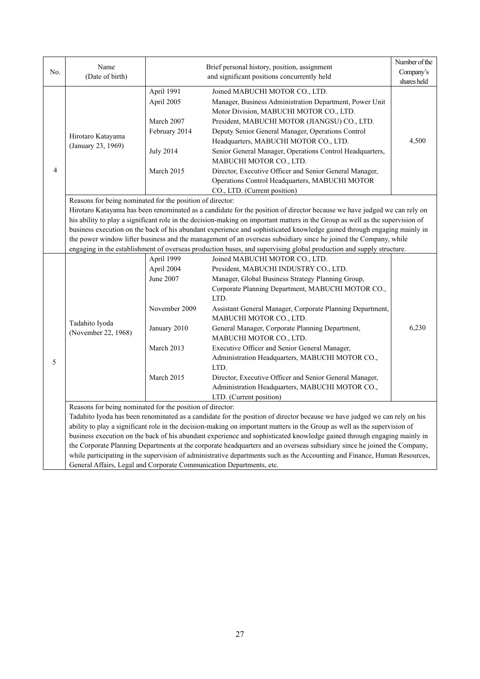| No. | Name<br>(Date of birth)                                   |                                                                                                    | Brief personal history, position, assignment<br>and significant positions concurrently held                                                                                                                                                                                                                                                                                                                                                                                                                                                                                                                                                                                                                        | Number of the<br>Company's<br>shares held |
|-----|-----------------------------------------------------------|----------------------------------------------------------------------------------------------------|--------------------------------------------------------------------------------------------------------------------------------------------------------------------------------------------------------------------------------------------------------------------------------------------------------------------------------------------------------------------------------------------------------------------------------------------------------------------------------------------------------------------------------------------------------------------------------------------------------------------------------------------------------------------------------------------------------------------|-------------------------------------------|
| 4   | Hirotaro Katayama<br>(January 23, 1969)                   | April 1991<br>April 2005<br>March 2007<br>February 2014<br><b>July 2014</b><br>March 2015          | Joined MABUCHI MOTOR CO., LTD.<br>Manager, Business Administration Department, Power Unit<br>Motor Division, MABUCHI MOTOR CO., LTD.<br>President, MABUCHI MOTOR (JIANGSU) CO., LTD.<br>Deputy Senior General Manager, Operations Control<br>Headquarters, MABUCHI MOTOR CO., LTD.<br>Senior General Manager, Operations Control Headquarters,<br>MABUCHI MOTOR CO., LTD.<br>Director, Executive Officer and Senior General Manager,<br>Operations Control Headquarters, MABUCHI MOTOR<br>CO., LTD. (Current position)                                                                                                                                                                                             | 4,500                                     |
|     | Reasons for being nominated for the position of director: |                                                                                                    | Hirotaro Katayama has been renominated as a candidate for the position of director because we have judged we can rely on<br>his ability to play a significant role in the decision-making on important matters in the Group as well as the supervision of<br>business execution on the back of his abundant experience and sophisticated knowledge gained through engaging mainly in<br>the power window lifter business and the management of an overseas subsidiary since he joined the Company, while<br>engaging in the establishment of overseas production bases, and supervising global production and supply structure.                                                                                    |                                           |
| 5   | Tadahito Iyoda<br>(November 22, 1968)                     | April 1999<br>April 2004<br>June 2007<br>November 2009<br>January 2010<br>March 2013<br>March 2015 | Joined MABUCHI MOTOR CO., LTD.<br>President, MABUCHI INDUSTRY CO., LTD.<br>Manager, Global Business Strategy Planning Group,<br>Corporate Planning Department, MABUCHI MOTOR CO.,<br>LTD.<br>Assistant General Manager, Corporate Planning Department,<br>MABUCHI MOTOR CO., LTD.<br>General Manager, Corporate Planning Department,<br>MABUCHI MOTOR CO., LTD.<br>Executive Officer and Senior General Manager,<br>Administration Headquarters, MABUCHI MOTOR CO.,<br>LTD.<br>Director, Executive Officer and Senior General Manager,<br>Administration Headquarters, MABUCHI MOTOR CO.,<br>LTD. (Current position)                                                                                               | 6,230                                     |
|     | Reasons for being nominated for the position of director: |                                                                                                    | Tadahito Iyoda has been renominated as a candidate for the position of director because we have judged we can rely on his<br>ability to play a significant role in the decision-making on important matters in the Group as well as the supervision of<br>business execution on the back of his abundant experience and sophisticated knowledge gained through engaging mainly in<br>the Corporate Planning Departments at the corporate headquarters and an overseas subsidiary since he joined the Company,<br>while participating in the supervision of administrative departments such as the Accounting and Finance, Human Resources,<br>General Affairs, Legal and Corporate Communication Departments, etc. |                                           |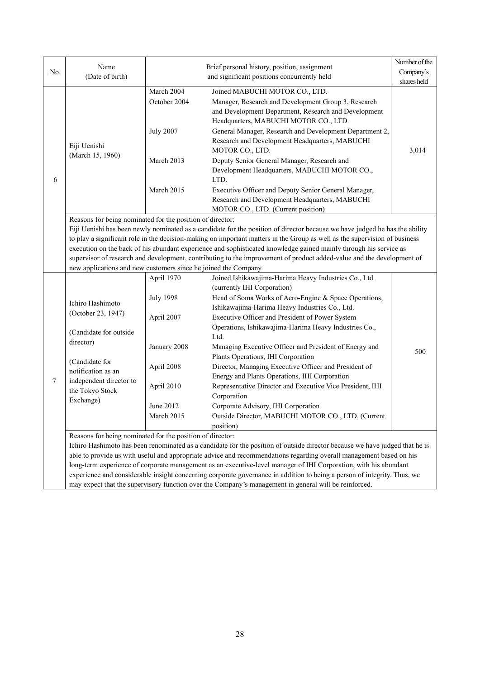|                                                                                                                                                                                                                                                                                                                                                                                                                                                                                                                                                                                                                                         |                                                                                                       |                                                                                                                                                                                                                                                                                                                                                                                                                                                                                                                                                                                                                                                            | Number of the                                                                                                                                                                                                                                                                                                                                                                                                                                                                                                                                                                                                                                                                                                                                                                                                                                                                                                            |  |
|-----------------------------------------------------------------------------------------------------------------------------------------------------------------------------------------------------------------------------------------------------------------------------------------------------------------------------------------------------------------------------------------------------------------------------------------------------------------------------------------------------------------------------------------------------------------------------------------------------------------------------------------|-------------------------------------------------------------------------------------------------------|------------------------------------------------------------------------------------------------------------------------------------------------------------------------------------------------------------------------------------------------------------------------------------------------------------------------------------------------------------------------------------------------------------------------------------------------------------------------------------------------------------------------------------------------------------------------------------------------------------------------------------------------------------|--------------------------------------------------------------------------------------------------------------------------------------------------------------------------------------------------------------------------------------------------------------------------------------------------------------------------------------------------------------------------------------------------------------------------------------------------------------------------------------------------------------------------------------------------------------------------------------------------------------------------------------------------------------------------------------------------------------------------------------------------------------------------------------------------------------------------------------------------------------------------------------------------------------------------|--|
| (Date of birth)                                                                                                                                                                                                                                                                                                                                                                                                                                                                                                                                                                                                                         |                                                                                                       |                                                                                                                                                                                                                                                                                                                                                                                                                                                                                                                                                                                                                                                            | Company's                                                                                                                                                                                                                                                                                                                                                                                                                                                                                                                                                                                                                                                                                                                                                                                                                                                                                                                |  |
|                                                                                                                                                                                                                                                                                                                                                                                                                                                                                                                                                                                                                                         |                                                                                                       |                                                                                                                                                                                                                                                                                                                                                                                                                                                                                                                                                                                                                                                            | shares held                                                                                                                                                                                                                                                                                                                                                                                                                                                                                                                                                                                                                                                                                                                                                                                                                                                                                                              |  |
| Eiji Uenishi<br>(March 15, 1960)                                                                                                                                                                                                                                                                                                                                                                                                                                                                                                                                                                                                        | March 2004<br>October 2004<br><b>July 2007</b><br>March 2013<br>March 2015                            | Joined MABUCHI MOTOR CO., LTD.<br>Manager, Research and Development Group 3, Research<br>and Development Department, Research and Development<br>Headquarters, MABUCHI MOTOR CO., LTD.<br>General Manager, Research and Development Department 2,<br>Research and Development Headquarters, MABUCHI<br>MOTOR CO., LTD.<br>Deputy Senior General Manager, Research and<br>Development Headquarters, MABUCHI MOTOR CO.,<br>LTD.<br>Executive Officer and Deputy Senior General Manager,                                                                                                                                                                      | 3,014                                                                                                                                                                                                                                                                                                                                                                                                                                                                                                                                                                                                                                                                                                                                                                                                                                                                                                                    |  |
|                                                                                                                                                                                                                                                                                                                                                                                                                                                                                                                                                                                                                                         |                                                                                                       |                                                                                                                                                                                                                                                                                                                                                                                                                                                                                                                                                                                                                                                            |                                                                                                                                                                                                                                                                                                                                                                                                                                                                                                                                                                                                                                                                                                                                                                                                                                                                                                                          |  |
| Reasons for being nominated for the position of director:<br>Eiji Uenishi has been newly nominated as a candidate for the position of director because we have judged he has the ability<br>to play a significant role in the decision-making on important matters in the Group as well as the supervision of business<br>execution on the back of his abundant experience and sophisticated knowledge gained mainly through his service as<br>supervisor of research and development, contributing to the improvement of product added-value and the development of<br>new applications and new customers since he joined the Company. |                                                                                                       |                                                                                                                                                                                                                                                                                                                                                                                                                                                                                                                                                                                                                                                            |                                                                                                                                                                                                                                                                                                                                                                                                                                                                                                                                                                                                                                                                                                                                                                                                                                                                                                                          |  |
| Ichiro Hashimoto<br>(October 23, 1947)<br>(Candidate for outside<br>director)<br>(Candidate for<br>notification as an<br>independent director to<br>the Tokyo Stock<br>Exchange)                                                                                                                                                                                                                                                                                                                                                                                                                                                        | <b>July 1998</b><br>April 2007<br>January 2008<br>April 2008<br>April 2010<br>June 2012<br>March 2015 | (currently IHI Corporation)<br>Head of Soma Works of Aero-Engine & Space Operations,<br>Ishikawajima-Harima Heavy Industries Co., Ltd.<br>Executive Officer and President of Power System<br>Operations, Ishikawajima-Harima Heavy Industries Co.,<br>Ltd.<br>Managing Executive Officer and President of Energy and<br>Plants Operations, IHI Corporation<br>Director, Managing Executive Officer and President of<br>Energy and Plants Operations, IHI Corporation<br>Representative Director and Executive Vice President, IHI<br>Corporation<br>Corporate Advisory, IHI Corporation<br>Outside Director, MABUCHI MOTOR CO., LTD. (Current<br>position) | 500                                                                                                                                                                                                                                                                                                                                                                                                                                                                                                                                                                                                                                                                                                                                                                                                                                                                                                                      |  |
|                                                                                                                                                                                                                                                                                                                                                                                                                                                                                                                                                                                                                                         | Name                                                                                                  | April 1970                                                                                                                                                                                                                                                                                                                                                                                                                                                                                                                                                                                                                                                 | Brief personal history, position, assignment<br>and significant positions concurrently held<br>Research and Development Headquarters, MABUCHI<br>MOTOR CO., LTD. (Current position)<br>Joined Ishikawajima-Harima Heavy Industries Co., Ltd.<br>Reasons for being nominated for the position of director:<br>Ichiro Hashimoto has been renominated as a candidate for the position of outside director because we have judged that he is<br>able to provide us with useful and appropriate advice and recommendations regarding overall management based on his<br>long-term experience of corporate management as an executive-level manager of IHI Corporation, with his abundant<br>experience and considerable insight concerning corporate governance in addition to being a person of integrity. Thus, we<br>may expect that the supervisory function over the Company's management in general will be reinforced. |  |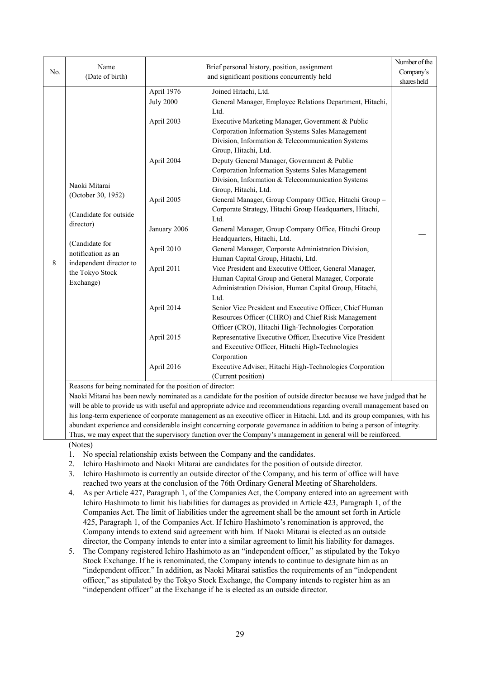| No. | Name<br>(Date of birth)                                                                                                                                                       | Brief personal history, position, assignment<br>and significant positions concurrently held                                                      |                                                                                                                                                                                                                                                                                                                                                                                                                                                                                                                                                                                                                                                                                                                                                                                                                                                                                                                                                                                                                                                                                                                                                                                                                                                               | Number of the<br>Company's |
|-----|-------------------------------------------------------------------------------------------------------------------------------------------------------------------------------|--------------------------------------------------------------------------------------------------------------------------------------------------|---------------------------------------------------------------------------------------------------------------------------------------------------------------------------------------------------------------------------------------------------------------------------------------------------------------------------------------------------------------------------------------------------------------------------------------------------------------------------------------------------------------------------------------------------------------------------------------------------------------------------------------------------------------------------------------------------------------------------------------------------------------------------------------------------------------------------------------------------------------------------------------------------------------------------------------------------------------------------------------------------------------------------------------------------------------------------------------------------------------------------------------------------------------------------------------------------------------------------------------------------------------|----------------------------|
| 8   | Naoki Mitarai<br>(October 30, 1952)<br>(Candidate for outside<br>director)<br>(Candidate for<br>notification as an<br>independent director to<br>the Tokyo Stock<br>Exchange) | April 1976<br><b>July 2000</b><br>April 2003<br>April 2004<br>April 2005<br>January 2006<br>April 2010<br>April 2011<br>April 2014<br>April 2015 | Joined Hitachi, Ltd.<br>General Manager, Employee Relations Department, Hitachi,<br>Ltd.<br>Executive Marketing Manager, Government & Public<br>Corporation Information Systems Sales Management<br>Division, Information & Telecommunication Systems<br>Group, Hitachi, Ltd.<br>Deputy General Manager, Government & Public<br>Corporation Information Systems Sales Management<br>Division, Information & Telecommunication Systems<br>Group, Hitachi, Ltd.<br>General Manager, Group Company Office, Hitachi Group -<br>Corporate Strategy, Hitachi Group Headquarters, Hitachi,<br>Ltd.<br>General Manager, Group Company Office, Hitachi Group<br>Headquarters, Hitachi, Ltd.<br>General Manager, Corporate Administration Division,<br>Human Capital Group, Hitachi, Ltd.<br>Vice President and Executive Officer, General Manager,<br>Human Capital Group and General Manager, Corporate<br>Administration Division, Human Capital Group, Hitachi,<br>Ltd.<br>Senior Vice President and Executive Officer, Chief Human<br>Resources Officer (CHRO) and Chief Risk Management<br>Officer (CRO), Hitachi High-Technologies Corporation<br>Representative Executive Officer, Executive Vice President<br>and Executive Officer, Hitachi High-Technologies | shares held                |
|     |                                                                                                                                                                               | April 2016<br>Reasons for being nominated for the position of director:                                                                          | Corporation<br>Executive Adviser, Hitachi High-Technologies Corporation<br>(Current position)                                                                                                                                                                                                                                                                                                                                                                                                                                                                                                                                                                                                                                                                                                                                                                                                                                                                                                                                                                                                                                                                                                                                                                 |                            |

Naoki Mitarai has been newly nominated as a candidate for the position of outside director because we have judged that he will be able to provide us with useful and appropriate advice and recommendations regarding overall management based on his long-term experience of corporate management as an executive officer in Hitachi, Ltd. and its group companies, with his abundant experience and considerable insight concerning corporate governance in addition to being a person of integrity. Thus, we may expect that the supervisory function over the Company's management in general will be reinforced.

(Notes)

- 1. No special relationship exists between the Company and the candidates.
- 2. Ichiro Hashimoto and Naoki Mitarai are candidates for the position of outside director.
- 3. Ichiro Hashimoto is currently an outside director of the Company, and his term of office will have reached two years at the conclusion of the 76th Ordinary General Meeting of Shareholders.
- 4. As per Article 427, Paragraph 1, of the Companies Act, the Company entered into an agreement with Ichiro Hashimoto to limit his liabilities for damages as provided in Article 423, Paragraph 1, of the Companies Act. The limit of liabilities under the agreement shall be the amount set forth in Article 425, Paragraph 1, of the Companies Act. If Ichiro Hashimoto's renomination is approved, the Company intends to extend said agreement with him. If Naoki Mitarai is elected as an outside director, the Company intends to enter into a similar agreement to limit his liability for damages.
- 5. The Company registered Ichiro Hashimoto as an "independent officer," as stipulated by the Tokyo Stock Exchange. If he is renominated, the Company intends to continue to designate him as an "independent officer." In addition, as Naoki Mitarai satisfies the requirements of an "independent officer," as stipulated by the Tokyo Stock Exchange, the Company intends to register him as an "independent officer" at the Exchange if he is elected as an outside director.